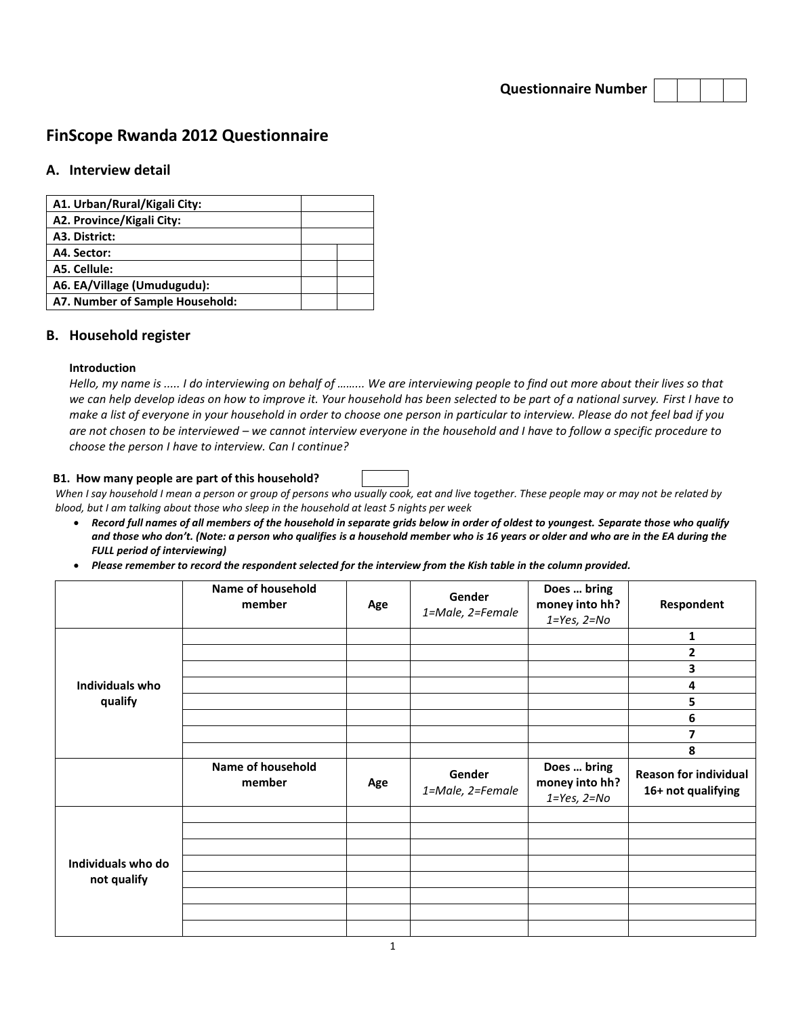**Questionnaire Number**

# **FinScope Rwanda 2012 Questionnaire**

# **A. Interview detail**

| A1. Urban/Rural/Kigali City:    |  |
|---------------------------------|--|
| A2. Province/Kigali City:       |  |
| A3. District:                   |  |
| A4. Sector:                     |  |
| A5. Cellule:                    |  |
| A6. EA/Village (Umudugudu):     |  |
| A7. Number of Sample Household: |  |

### **B. Household register**

#### **Introduction**

*Hello, my name is ..... I do interviewing on behalf of ……... We are interviewing people to find out more about their lives so that we can help develop ideas on how to improve it. Your household has been selected to be part of a national survey. First I have to make a list of everyone in your household in order to choose one person in particular to interview. Please do not feel bad if you are not chosen to be interviewed – we cannot interview everyone in the household and I have to follow a specific procedure to choose the person I have to interview. Can I continue?*

#### **B1. How many people are part of this household?**

*When I say household I mean a person or group of persons who usually cook, eat and live together. These people may or may not be related by blood, but I am talking about those who sleep in the household at least 5 nights per week*

- *Record full names of all members of the household in separate grids below in order of oldest to youngest. Separate those who qualify and those who don't. (Note: a person who qualifies is a household member who is 16 years or older and who are in the EA during the FULL period of interviewing)*
- *Please remember to record the respondent selected for the interview from the Kish table in the column provided.*

|                    | <b>Name of household</b><br>member | Age | Gender<br>1=Male, 2=Female | Does  bring<br>money into hh?<br>$1 = Yes, 2 = No$ | Respondent                                         |
|--------------------|------------------------------------|-----|----------------------------|----------------------------------------------------|----------------------------------------------------|
|                    |                                    |     |                            |                                                    | 1                                                  |
|                    |                                    |     |                            |                                                    | 2                                                  |
|                    |                                    |     |                            |                                                    | 3                                                  |
| Individuals who    |                                    |     |                            |                                                    | 4                                                  |
| qualify            |                                    |     |                            |                                                    | 5                                                  |
|                    |                                    |     |                            |                                                    | 6                                                  |
|                    |                                    |     |                            |                                                    | 7                                                  |
|                    |                                    |     |                            |                                                    | 8                                                  |
|                    |                                    |     |                            |                                                    |                                                    |
|                    | Name of household<br>member        | Age | Gender<br>1=Male, 2=Female | Does  bring<br>money into hh?<br>$1 = Yes, 2 = No$ | <b>Reason for individual</b><br>16+ not qualifying |
|                    |                                    |     |                            |                                                    |                                                    |
|                    |                                    |     |                            |                                                    |                                                    |
|                    |                                    |     |                            |                                                    |                                                    |
| Individuals who do |                                    |     |                            |                                                    |                                                    |
| not qualify        |                                    |     |                            |                                                    |                                                    |
|                    |                                    |     |                            |                                                    |                                                    |
|                    |                                    |     |                            |                                                    |                                                    |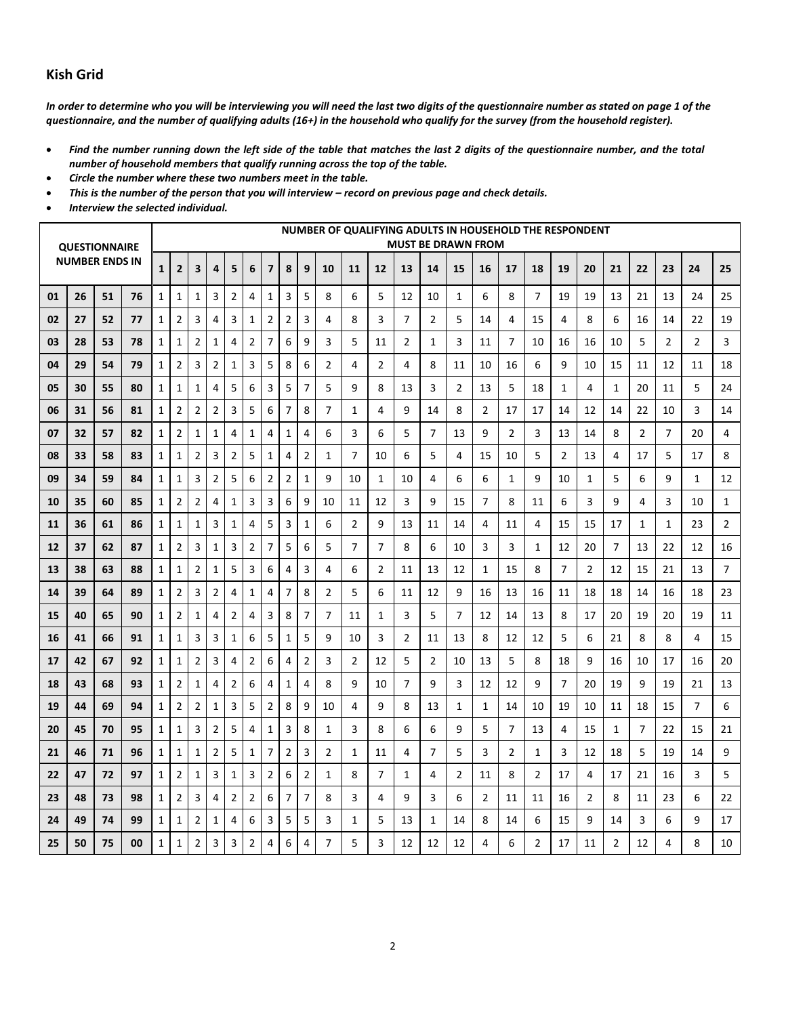# **Kish Grid**

*In order to determine who you will be interviewing you will need the last two digits of the questionnaire number as stated on page 1 of the questionnaire, and the number of qualifying adults (16+) in the household who qualify for the survey (from the household register).*

- *Find the number running down the left side of the table that matches the last 2 digits of the questionnaire number, and the total number of household members that qualify running across the top of the table.*
- *Circle the number where these two numbers meet in the table.*
- *This is the number of the person that you will interview – record on previous page and check details.*
- *Interview the selected individual.*

|                       |    | <b>QUESTIONNAIRE</b> |    |              |                         |                |                |                |                |                         |                         |                |                |                |                |                |                | <b>MUST BE DRAWN FROM</b> |                |                |                |                | NUMBER OF QUALIFYING ADULTS IN HOUSEHOLD THE RESPONDENT |    |                |                |                |                |
|-----------------------|----|----------------------|----|--------------|-------------------------|----------------|----------------|----------------|----------------|-------------------------|-------------------------|----------------|----------------|----------------|----------------|----------------|----------------|---------------------------|----------------|----------------|----------------|----------------|---------------------------------------------------------|----|----------------|----------------|----------------|----------------|
| <b>NUMBER ENDS IN</b> |    |                      |    | $\mathbf{1}$ | $\overline{2}$          | 3              | 4              | 5              | 6              | $\overline{7}$          | 8                       | 9              | 10             | 11             | 12             | 13             | 14             | 15                        | 16             | 17             | 18             | 19             | 20                                                      | 21 | 22             | 23             | 24             | 25             |
| 01                    | 26 | 51                   | 76 | $\mathbf{1}$ | $\mathbf 1$             | $\mathbf{1}$   | 3              | 2              | 4              | $\mathbf{1}$            | 3                       | 5              | 8              | 6              | 5              | 12             | 10             | 1                         | 6              | 8              | $\overline{7}$ | 19             | 19                                                      | 13 | 21             | 13             | 24             | 25             |
| 02                    | 27 | 52                   | 77 | $\mathbf{1}$ | 2                       | 3              | 4              | 3              | $\mathbf{1}$   | $\overline{2}$          | $\overline{2}$          | 3              | 4              | 8              | 3              | $\overline{7}$ | 2              | 5                         | 14             | 4              | 15             | 4              | 8                                                       | 6  | 16             | 14             | 22             | 19             |
| 03                    | 28 | 53                   | 78 | $\mathbf{1}$ | $\mathbf{1}$            | $\overline{2}$ | 1              | 4              | $\overline{2}$ | 7                       | 6                       | 9              | 3              | 5              | 11             | 2              | 1              | 3                         | 11             | $\overline{7}$ | 10             | 16             | 16                                                      | 10 | 5              | $\overline{2}$ | $\overline{2}$ | 3              |
| 04                    | 29 | 54                   | 79 | $\mathbf{1}$ | $\overline{2}$          | 3              | $\overline{2}$ | 1              | 3              | 5                       | 8                       | 6              | $\overline{2}$ | 4              | $\overline{2}$ | 4              | 8              | 11                        | 10             | 16             | 6              | 9              | 10                                                      | 15 | 11             | 12             | 11             | 18             |
| 05                    | 30 | 55                   | 80 | $\mathbf{1}$ | 1                       | $\mathbf{1}$   | 4              | 5              | 6              | 3                       | 5                       | $\overline{7}$ | 5              | 9              | 8              | 13             | 3              | 2                         | 13             | 5              | 18             | 1              | 4                                                       | 1  | 20             | 11             | 5              | 24             |
| 06                    | 31 | 56                   | 81 | $\mathbf{1}$ | $\overline{2}$          | $\overline{2}$ | $\overline{2}$ | 3              | 5              | 6                       | 7                       | 8              | $\overline{7}$ | 1              | 4              | 9              | 14             | 8                         | $\overline{2}$ | 17             | 17             | 14             | 12                                                      | 14 | 22             | 10             | 3              | 14             |
| 07                    | 32 | 57                   | 82 | $\mathbf{1}$ | $\overline{2}$          | $\mathbf{1}$   | $\mathbf{1}$   | 4              | 1              | 4                       | 1                       | 4              | 6              | 3              | 6              | 5              | 7              | 13                        | 9              | $\overline{2}$ | 3              | 13             | 14                                                      | 8  | $\overline{2}$ | 7              | 20             | 4              |
| 08                    | 33 | 58                   | 83 | $\mathbf{1}$ | $\mathbf{1}$            | $\overline{2}$ | 3              | $\overline{2}$ | 5              | $\mathbf{1}$            | 4                       | $\overline{2}$ | $\mathbf{1}$   | $\overline{7}$ | 10             | 6              | 5              | $\overline{4}$            | 15             | 10             | 5              | $\overline{2}$ | 13                                                      | 4  | 17             | 5              | 17             | 8              |
| 09                    | 34 | 59                   | 84 | $\mathbf{1}$ | $\mathbf{1}$            | 3              | $\overline{2}$ | 5              | 6              | $\overline{2}$          | $\overline{\mathbf{c}}$ | $\mathbf{1}$   | 9              | 10             | 1              | 10             | 4              | 6                         | 6              | $\mathbf{1}$   | 9              | 10             | $\mathbf{1}$                                            | 5  | 6              | 9              | $\mathbf{1}$   | 12             |
| 10                    | 35 | 60                   | 85 | $\mathbf{1}$ | $\overline{2}$          | $\overline{2}$ | 4              | 1              | 3              | 3                       | 6                       | 9              | 10             | 11             | 12             | 3              | 9              | 15                        | 7              | 8              | 11             | 6              | 3                                                       | 9  | 4              | 3              | 10             | $\mathbf{1}$   |
| 11                    | 36 | 61                   | 86 | $\mathbf{1}$ | $\mathbf{1}$            | $\mathbf{1}$   | 3              | $\mathbf{1}$   | 4              | 5                       | 3                       | $\mathbf{1}$   | 6              | $\overline{2}$ | 9              | 13             | 11             | 14                        | 4              | 11             | 4              | 15             | 15                                                      | 17 | $\mathbf{1}$   | $\mathbf{1}$   | 23             | $\overline{2}$ |
| 12                    | 37 | 62                   | 87 | $\mathbf{1}$ | $\overline{2}$          | 3              | $\mathbf{1}$   | 3              | $\overline{2}$ | 7                       | 5                       | 6              | 5              | 7              | $\overline{7}$ | 8              | 6              | 10                        | 3              | 3              | $\mathbf{1}$   | 12             | 20                                                      | 7  | 13             | 22             | 12             | 16             |
| 13                    | 38 | 63                   | 88 | $\mathbf{1}$ | $\mathbf{1}$            | $\overline{2}$ | 1              | 5              | 3              | 6                       | 4                       | 3              | $\overline{4}$ | 6              | $\overline{2}$ | 11             | 13             | 12                        | 1              | 15             | 8              | 7              | $\overline{2}$                                          | 12 | 15             | 21             | 13             | $\overline{7}$ |
| 14                    | 39 | 64                   | 89 | $\mathbf{1}$ | $\overline{\mathbf{c}}$ | 3              | $\overline{2}$ | 4              | $\mathbf{1}$   | 4                       | 7                       | 8              | $\overline{2}$ | 5              | 6              | 11             | 12             | 9                         | 16             | 13             | 16             | 11             | 18                                                      | 18 | 14             | 16             | 18             | 23             |
| 15                    | 40 | 65                   | 90 | $\mathbf{1}$ | 2                       | $\mathbf 1$    | 4              | $\overline{2}$ | 4              | 3                       | 8                       | $\overline{7}$ | 7              | 11             | 1              | 3              | 5              | 7                         | 12             | 14             | 13             | 8              | 17                                                      | 20 | 19             | 20             | 19             | 11             |
| 16                    | 41 | 66                   | 91 | $\mathbf{1}$ | $\mathbf{1}$            | 3              | 3              | $\mathbf{1}$   | 6              | 5                       | $\mathbf{1}$            | 5              | 9              | 10             | 3              | $\overline{2}$ | 11             | 13                        | 8              | 12             | 12             | 5              | 6                                                       | 21 | 8              | 8              | 4              | 15             |
| 17                    | 42 | 67                   | 92 | $\mathbf{1}$ | $\mathbf{1}$            | $\overline{2}$ | 3              | 4              | $\overline{2}$ | 6                       | 4                       | $\overline{2}$ | 3              | $\overline{2}$ | 12             | 5              | 2              | 10                        | 13             | 5              | 8              | 18             | 9                                                       | 16 | 10             | 17             | 16             | 20             |
| 18                    | 43 | 68                   | 93 | $\mathbf{1}$ | $\overline{2}$          | $\mathbf{1}$   | 4              | $\overline{2}$ | 6              | 4                       | $\mathbf{1}$            | 4              | 8              | q              | 10             | $\overline{7}$ | 9              | 3                         | 12             | 12             | 9              | 7              | 20                                                      | 19 | 9              | 19             | 21             | 13             |
| 19                    | 44 | 69                   | 94 | $\mathbf{1}$ | 2                       | $\mathbf 2$    | $\mathbf 1$    | 3              | 5              | $\overline{\mathbf{c}}$ | 8                       | 9              | 10             | 4              | 9              | 8              | 13             | 1                         | $\mathbf{1}$   | 14             | 10             | 19             | 10                                                      | 11 | 18             | 15             | 7              | 6              |
| 20                    | 45 | 70                   | 95 | $\mathbf{1}$ | $\mathbf 1$             | 3              | $\overline{2}$ | 5              | 4              | $\mathbf{1}$            | 3                       | 8              | 1              | 3              | 8              | 6              | 6              | 9                         | 5              | $\overline{7}$ | 13             | 4              | 15                                                      | 1  | $\overline{7}$ | 22             | 15             | 21             |
| 21                    | 46 | 71                   | 96 | $\mathbf{1}$ | $\mathbf{1}$            | $\mathbf{1}$   | $\overline{2}$ | 5              | $\mathbf{1}$   | 7                       | $\overline{2}$          | 3              | $\overline{2}$ | $\mathbf{1}$   | 11             | 4              | $\overline{7}$ | 5                         | 3              | $\overline{2}$ | $\mathbf{1}$   | 3              | 12                                                      | 18 | 5              | 19             | 14             | 9              |
| 22                    | 47 | 72                   | 97 | $\mathbf 1$  | $\overline{2}$          | $\mathbf{1}$   | 3              | 1              | 3              | $\overline{2}$          | 6                       | $\overline{2}$ | 1              | 8              | $\overline{7}$ | 1              | 4              | $\overline{2}$            | 11             | 8              | $\overline{2}$ | 17             | $\overline{4}$                                          | 17 | 21             | 16             | 3              | 5              |
| 23                    | 48 | 73                   | 98 | $\mathbf{1}$ | $\overline{2}$          | 3              | 4              | 2              | $\overline{2}$ | 6                       | 7                       | 7              | 8              | 3              | 4              | 9              | 3              | 6                         | $\overline{2}$ | 11             | 11             | 16             | $\overline{2}$                                          | 8  | 11             | 23             | 6              | 22             |
| 24                    | 49 | 74                   | 99 | $\mathbf{1}$ | 1                       | $\overline{2}$ | 1              | 4              | 6              | 3                       | 5                       | 5              | 3              | 1              | 5              | 13             | 1              | 14                        | 8              | 14             | 6              | 15             | 9                                                       | 14 | 3              | 6              | 9              | 17             |
| 25                    | 50 | 75                   | 00 | 1            | 1                       | $\overline{2}$ | 3              | 3              | 2              | 4                       | 6                       | 4              | 7              | 5              | 3              | 12             | 12             | 12                        | 4              | 6              | $\overline{2}$ | 17             | 11                                                      | 2  | 12             | 4              | 8              | 10             |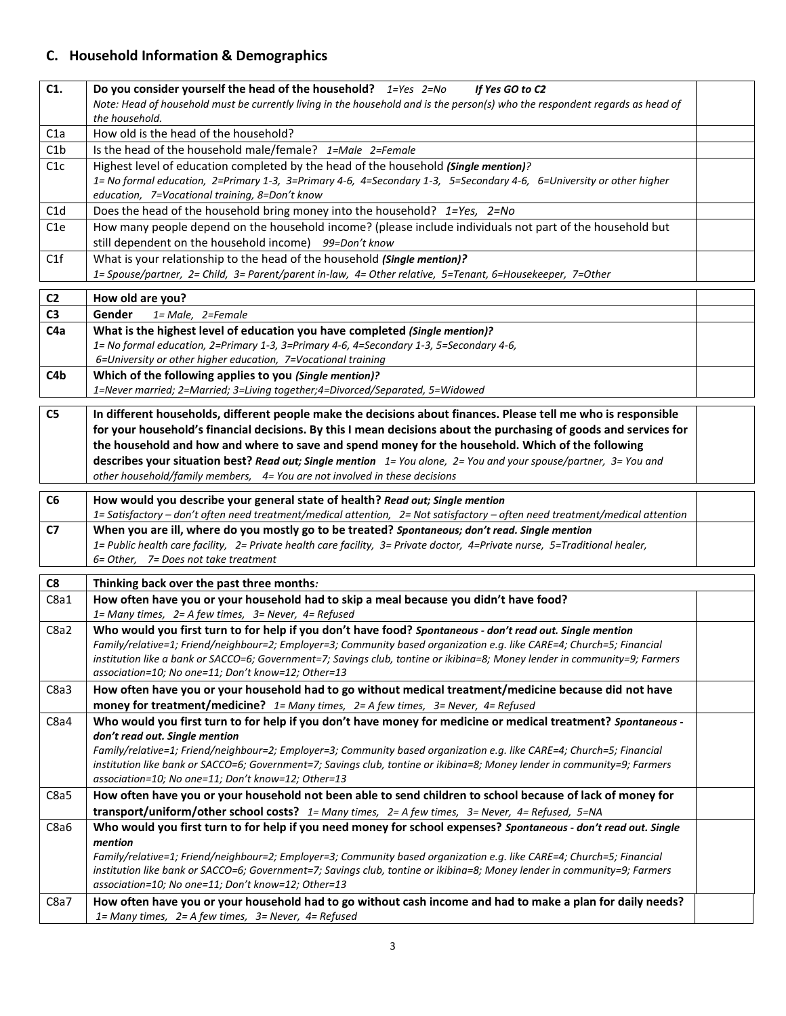# **C. Household Information & Demographics**

| C1.             | Do you consider yourself the head of the household? $1 = Yes$ $2 = No$<br>If Yes GO to C2                                                                                                                                                         |  |
|-----------------|---------------------------------------------------------------------------------------------------------------------------------------------------------------------------------------------------------------------------------------------------|--|
|                 | Note: Head of household must be currently living in the household and is the person(s) who the respondent regards as head of                                                                                                                      |  |
|                 | the household.                                                                                                                                                                                                                                    |  |
| C1a             | How old is the head of the household?                                                                                                                                                                                                             |  |
| C1b             | Is the head of the household male/female? 1=Male 2=Female                                                                                                                                                                                         |  |
| C1c             | Highest level of education completed by the head of the household (Single mention)?                                                                                                                                                               |  |
|                 | 1= No formal education, 2=Primary 1-3, 3=Primary 4-6, 4=Secondary 1-3, 5=Secondary 4-6, 6=University or other higher                                                                                                                              |  |
|                 | education, 7=Vocational training, 8=Don't know                                                                                                                                                                                                    |  |
| C1d             | Does the head of the household bring money into the household? 1=Yes, 2=No                                                                                                                                                                        |  |
| C <sub>1e</sub> | How many people depend on the household income? (please include individuals not part of the household but<br>still dependent on the household income) 99=Don't know                                                                               |  |
| C1f             | What is your relationship to the head of the household (Single mention)?                                                                                                                                                                          |  |
|                 | 1= Spouse/partner, 2= Child, 3= Parent/parent in-law, 4= Other relative, 5=Tenant, 6=Housekeeper, 7=Other                                                                                                                                         |  |
| C <sub>2</sub>  | How old are you?                                                                                                                                                                                                                                  |  |
| C <sub>3</sub>  | Gender<br>1= Male, 2=Female                                                                                                                                                                                                                       |  |
| C <sub>4a</sub> | What is the highest level of education you have completed (Single mention)?                                                                                                                                                                       |  |
|                 | 1= No formal education, 2=Primary 1-3, 3=Primary 4-6, 4=Secondary 1-3, 5=Secondary 4-6,                                                                                                                                                           |  |
|                 | 6=University or other higher education, 7=Vocational training                                                                                                                                                                                     |  |
| C4b             | Which of the following applies to you (Single mention)?                                                                                                                                                                                           |  |
|                 | 1=Never married; 2=Married; 3=Living together;4=Divorced/Separated, 5=Widowed                                                                                                                                                                     |  |
| C <sub>5</sub>  | In different households, different people make the decisions about finances. Please tell me who is responsible                                                                                                                                    |  |
|                 | for your household's financial decisions. By this I mean decisions about the purchasing of goods and services for                                                                                                                                 |  |
|                 | the household and how and where to save and spend money for the household. Which of the following                                                                                                                                                 |  |
|                 | describes your situation best? Read out; Single mention 1= You alone, 2= You and your spouse/partner, 3= You and                                                                                                                                  |  |
|                 | other household/family members, 4= You are not involved in these decisions                                                                                                                                                                        |  |
| C6              | How would you describe your general state of health? Read out; Single mention                                                                                                                                                                     |  |
|                 | 1= Satisfactory - don't often need treatment/medical attention, 2= Not satisfactory - often need treatment/medical attention                                                                                                                      |  |
| C7              | When you are ill, where do you mostly go to be treated? Spontaneous; don't read. Single mention                                                                                                                                                   |  |
|                 | 1= Public health care facility, 2= Private health care facility, 3= Private doctor, 4=Private nurse, 5=Traditional healer,                                                                                                                        |  |
|                 | 6= Other, 7= Does not take treatment                                                                                                                                                                                                              |  |
| C8              | Thinking back over the past three months:                                                                                                                                                                                                         |  |
| C8a1            | How often have you or your household had to skip a meal because you didn't have food?                                                                                                                                                             |  |
|                 | 1= Many times, 2= A few times, 3= Never, 4= Refused                                                                                                                                                                                               |  |
| C8a2            | Who would you first turn to for help if you don't have food? Spontaneous - don't read out. Single mention                                                                                                                                         |  |
|                 | Family/relative=1; Friend/neighbour=2; Employer=3; Community based organization e.g. like CARE=4; Church=5; Financial                                                                                                                             |  |
|                 | institution like a bank or SACCO=6; Government=7; Savings club, tontine or ikibina=8; Money lender in community=9; Farmers                                                                                                                        |  |
|                 | association=10; No one=11; Don't know=12; Other=13                                                                                                                                                                                                |  |
| C8a3            | How often have you or your household had to go without medical treatment/medicine because did not have                                                                                                                                            |  |
| C8a4            | money for treatment/medicine? 1= Many times, 2= A few times, 3= Never, 4= Refused<br>Who would you first turn to for help if you don't have money for medicine or medical treatment? Spontaneous -                                                |  |
|                 | don't read out. Single mention                                                                                                                                                                                                                    |  |
|                 | Family/relative=1; Friend/neighbour=2; Employer=3; Community based organization e.g. like CARE=4; Church=5; Financial                                                                                                                             |  |
|                 | institution like bank or SACCO=6; Government=7; Savings club, tontine or ikibina=8; Money lender in community=9; Farmers                                                                                                                          |  |
|                 | association=10; No one=11; Don't know=12; Other=13                                                                                                                                                                                                |  |
| C8a5            | How often have you or your household not been able to send children to school because of lack of money for                                                                                                                                        |  |
|                 | transport/uniform/other school costs? 1= Many times, 2= A few times, 3= Never, 4= Refused, 5=NA                                                                                                                                                   |  |
| C8a6            | Who would you first turn to for help if you need money for school expenses? Spontaneous - don't read out. Single                                                                                                                                  |  |
|                 | mention                                                                                                                                                                                                                                           |  |
|                 | Family/relative=1; Friend/neighbour=2; Employer=3; Community based organization e.g. like CARE=4; Church=5; Financial<br>institution like bank or SACCO=6; Government=7; Savings club, tontine or ikibina=8; Money lender in community=9; Farmers |  |
|                 |                                                                                                                                                                                                                                                   |  |
|                 |                                                                                                                                                                                                                                                   |  |
| C8a7            | association=10; No one=11; Don't know=12; Other=13<br>How often have you or your household had to go without cash income and had to make a plan for daily needs?                                                                                  |  |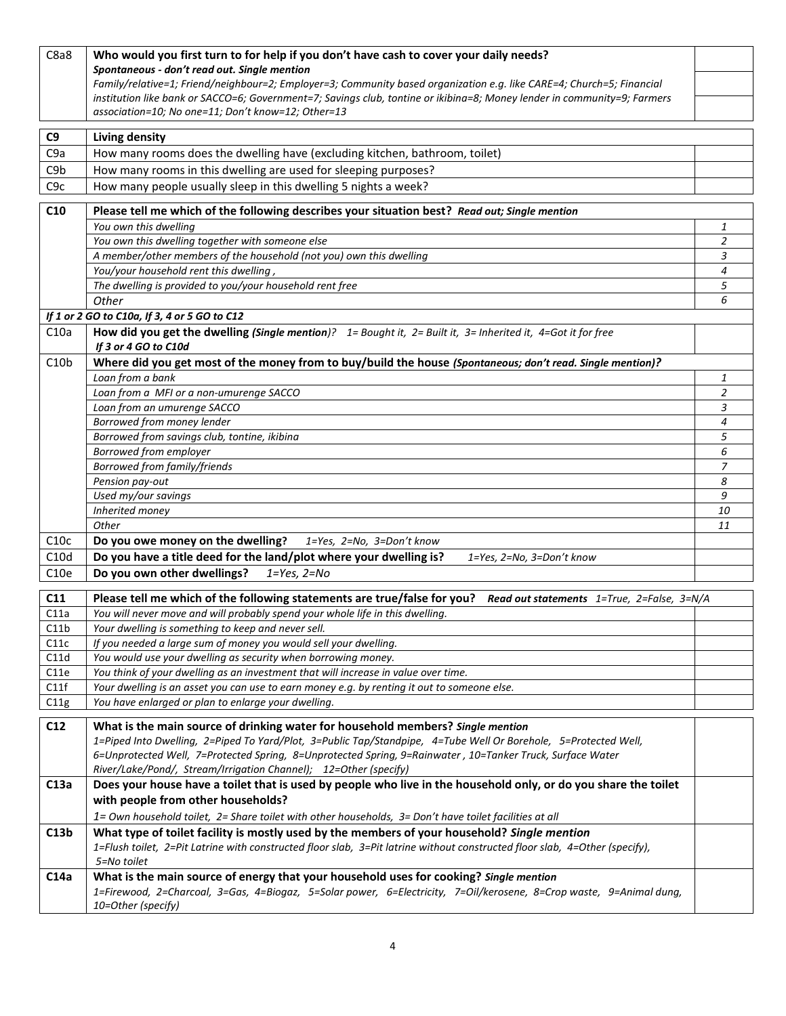| C8a8             | Who would you first turn to for help if you don't have cash to cover your daily needs?                                      |                  |
|------------------|-----------------------------------------------------------------------------------------------------------------------------|------------------|
|                  | Spontaneous - don't read out. Single mention                                                                                |                  |
|                  | Family/relative=1; Friend/neighbour=2; Employer=3; Community based organization e.g. like CARE=4; Church=5; Financial       |                  |
|                  | institution like bank or SACCO=6; Government=7; Savings club, tontine or ikibina=8; Money lender in community=9; Farmers    |                  |
|                  | association=10; No one=11; Don't know=12; Other=13                                                                          |                  |
| C <sub>9</sub>   | <b>Living density</b>                                                                                                       |                  |
| C <sub>9</sub> a | How many rooms does the dwelling have (excluding kitchen, bathroom, toilet)                                                 |                  |
| C <sub>9</sub> b | How many rooms in this dwelling are used for sleeping purposes?                                                             |                  |
| C9c              | How many people usually sleep in this dwelling 5 nights a week?                                                             |                  |
|                  |                                                                                                                             |                  |
| C10              | Please tell me which of the following describes your situation best? Read out; Single mention                               |                  |
|                  | You own this dwelling                                                                                                       | 1                |
|                  | You own this dwelling together with someone else                                                                            | $\overline{2}$   |
|                  | A member/other members of the household (not you) own this dwelling                                                         | 3                |
|                  | You/your household rent this dwelling,<br>The dwelling is provided to you/your household rent free                          | 4<br>5           |
|                  | Other                                                                                                                       | 6                |
|                  | If 1 or 2 GO to C10a, If 3, 4 or 5 GO to C12                                                                                |                  |
| C10a             | How did you get the dwelling (Single mention)? $1=$ Bought it, $2=$ Built it, $3=$ Inherited it, $4=$ Got it for free       |                  |
|                  | If 3 or 4 GO to C10d                                                                                                        |                  |
| C10b             | Where did you get most of the money from to buy/build the house (Spontaneous; don't read. Single mention)?                  |                  |
|                  | Loan from a bank                                                                                                            | 1                |
|                  | Loan from a MFI or a non-umurenge SACCO                                                                                     | $\overline{a}$   |
|                  | Loan from an umurenge SACCO                                                                                                 | 3                |
|                  | Borrowed from money lender                                                                                                  | $\boldsymbol{4}$ |
|                  | Borrowed from savings club, tontine, ikibina                                                                                | 5                |
|                  | Borrowed from employer                                                                                                      | 6                |
|                  | Borrowed from family/friends                                                                                                | $\overline{z}$   |
|                  | Pension pay-out                                                                                                             | 8                |
|                  | Used my/our savings                                                                                                         | 9                |
|                  | Inherited money                                                                                                             | 10               |
|                  | Other                                                                                                                       | 11               |
| C10c             | Do you owe money on the dwelling?<br>1=Yes, 2=No, 3=Don't know                                                              |                  |
| C10d             | Do you have a title deed for the land/plot where your dwelling is?<br>1=Yes, 2=No, 3=Don't know                             |                  |
| C10e             | Do you own other dwellings?<br>$1 = Yes, 2 = No$                                                                            |                  |
| C11              | Please tell me which of the following statements are true/false for you?<br>Read out statements 1=True, 2=False, 3=N/A      |                  |
| C11a             | You will never move and will probably spend your whole life in this dwelling.                                               |                  |
| C11b             | Your dwelling is something to keep and never sell.                                                                          |                  |
| C11c             | If you needed a large sum of money you would sell your dwelling.                                                            |                  |
| C11d             | You would use your dwelling as security when borrowing money.                                                               |                  |
| C11e             | You think of your dwelling as an investment that will increase in value over time.                                          |                  |
| C11f             | Your dwelling is an asset you can use to earn money e.g. by renting it out to someone else.                                 |                  |
| C11g             | You have enlarged or plan to enlarge your dwelling.                                                                         |                  |
| C12              | What is the main source of drinking water for household members? Single mention                                             |                  |
|                  | 1=Piped Into Dwelling, 2=Piped To Yard/Plot, 3=Public Tap/Standpipe, 4=Tube Well Or Borehole, 5=Protected Well,             |                  |
|                  | 6=Unprotected Well, 7=Protected Spring, 8=Unprotected Spring, 9=Rainwater, 10=Tanker Truck, Surface Water                   |                  |
|                  | River/Lake/Pond/, Stream/Irrigation Channel); 12=Other (specify)                                                            |                  |
| C13a             | Does your house have a toilet that is used by people who live in the household only, or do you share the toilet             |                  |
|                  | with people from other households?                                                                                          |                  |
|                  | 1= Own household toilet, 2= Share toilet with other households, 3= Don't have toilet facilities at all                      |                  |
| C13b             | What type of toilet facility is mostly used by the members of your household? Single mention                                |                  |
|                  | 1=Flush toilet, 2=Pit Latrine with constructed floor slab, 3=Pit latrine without constructed floor slab, 4=Other (specify), |                  |
|                  | 5=No toilet                                                                                                                 |                  |
| C <sub>14a</sub> | What is the main source of energy that your household uses for cooking? Single mention                                      |                  |
|                  | 1=Firewood, 2=Charcoal, 3=Gas, 4=Biogaz, 5=Solar power, 6=Electricity, 7=Oil/kerosene, 8=Crop waste, 9=Animal dung,         |                  |
|                  | 10=Other (specify)                                                                                                          |                  |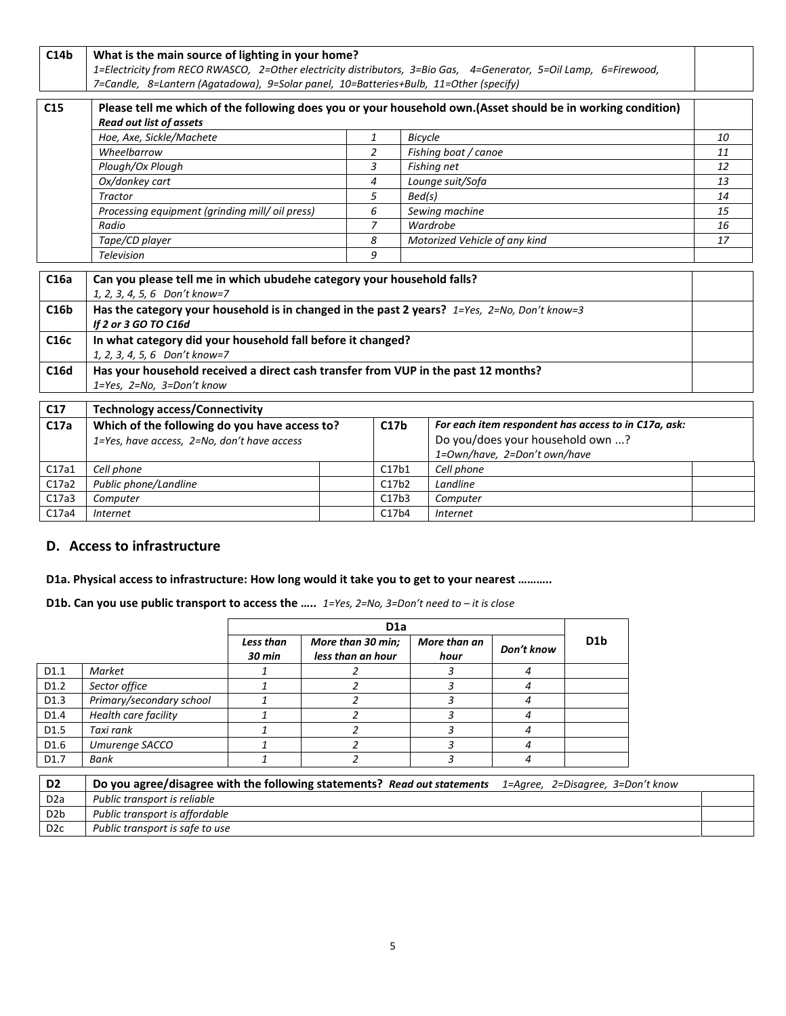| C14b             | What is the main source of lighting in your home?                                                                 |                               |                  |                                                                                                              |    |  |  |  |  |
|------------------|-------------------------------------------------------------------------------------------------------------------|-------------------------------|------------------|--------------------------------------------------------------------------------------------------------------|----|--|--|--|--|
|                  | 1=Electricity from RECO RWASCO, 2=Other electricity distributors, 3=Bio Gas, 4=Generator, 5=Oil Lamp, 6=Firewood, |                               |                  |                                                                                                              |    |  |  |  |  |
|                  | 7=Candle, 8=Lantern (Agatadowa), 9=Solar panel, 10=Batteries+Bulb, 11=Other (specify)                             |                               |                  |                                                                                                              |    |  |  |  |  |
|                  |                                                                                                                   |                               |                  |                                                                                                              |    |  |  |  |  |
| C <sub>15</sub>  |                                                                                                                   |                               |                  | Please tell me which of the following does you or your household own. (Asset should be in working condition) |    |  |  |  |  |
|                  | <b>Read out list of assets</b>                                                                                    |                               |                  |                                                                                                              |    |  |  |  |  |
|                  | Hoe, Axe, Sickle/Machete                                                                                          | 1                             | <b>Bicycle</b>   |                                                                                                              | 10 |  |  |  |  |
|                  | Wheelbarrow                                                                                                       | $\overline{2}$                |                  | Fishing boat / canoe                                                                                         | 11 |  |  |  |  |
|                  | Plough/Ox Plough                                                                                                  | 3                             |                  | Fishing net                                                                                                  | 12 |  |  |  |  |
|                  | Ox/donkey cart                                                                                                    | $\overline{a}$                |                  | Lounge suit/Sofa                                                                                             | 13 |  |  |  |  |
|                  | Tractor                                                                                                           | 5                             | Bed(s)           |                                                                                                              | 14 |  |  |  |  |
|                  | Processing equipment (grinding mill/ oil press)                                                                   | 6                             |                  | Sewing machine                                                                                               | 15 |  |  |  |  |
|                  | Radio                                                                                                             | $\overline{z}$                |                  | Wardrobe                                                                                                     | 16 |  |  |  |  |
|                  | Tape/CD player                                                                                                    | Motorized Vehicle of any kind | 17               |                                                                                                              |    |  |  |  |  |
|                  | 9<br><b>Television</b>                                                                                            |                               |                  |                                                                                                              |    |  |  |  |  |
|                  |                                                                                                                   |                               |                  |                                                                                                              |    |  |  |  |  |
| C16a             | Can you please tell me in which ubudehe category your household falls?                                            |                               |                  |                                                                                                              |    |  |  |  |  |
|                  | 1, 2, 3, 4, 5, 6 Don't know=7                                                                                     |                               |                  |                                                                                                              |    |  |  |  |  |
| C16 <sub>b</sub> | Has the category your household is in changed in the past 2 years? 1=Yes, 2=No, Don't know=3                      |                               |                  |                                                                                                              |    |  |  |  |  |
|                  | If 2 or 3 GO TO C16d                                                                                              |                               |                  |                                                                                                              |    |  |  |  |  |
| C16c             | In what category did your household fall before it changed?                                                       |                               |                  |                                                                                                              |    |  |  |  |  |
|                  | 1, 2, 3, 4, 5, 6 Don't know=7                                                                                     |                               |                  |                                                                                                              |    |  |  |  |  |
| C16d             | Has your household received a direct cash transfer from VUP in the past 12 months?                                |                               |                  |                                                                                                              |    |  |  |  |  |
|                  | 1=Yes, 2=No, 3=Don't know                                                                                         |                               |                  |                                                                                                              |    |  |  |  |  |
| C17              |                                                                                                                   |                               |                  |                                                                                                              |    |  |  |  |  |
|                  | <b>Technology access/Connectivity</b>                                                                             |                               |                  |                                                                                                              |    |  |  |  |  |
| C17a             | Which of the following do you have access to?                                                                     |                               | C17 <sub>b</sub> | For each item respondent has access to in C17a, ask:                                                         |    |  |  |  |  |
|                  | 1=Yes, have access, 2=No, don't have access                                                                       |                               |                  | Do you/does your household own ?                                                                             |    |  |  |  |  |
|                  |                                                                                                                   |                               |                  | 1=Own/have, 2=Don't own/have                                                                                 |    |  |  |  |  |
| C17a1            | Cell phone                                                                                                        |                               | C17b1            | Cell phone                                                                                                   |    |  |  |  |  |
| C17a2            | Public phone/Landline                                                                                             |                               | C17b2            | Landline                                                                                                     |    |  |  |  |  |
| C17a3            | Computer                                                                                                          |                               | C17b3            | Computer                                                                                                     |    |  |  |  |  |
| C17a4            | C17b4<br><b>Internet</b><br><b>Internet</b>                                                                       |                               |                  |                                                                                                              |    |  |  |  |  |

# **D. Access to infrastructure**

### **D1a. Physical access to infrastructure: How long would it take you to get to your nearest ………..**

#### **D1b. Can you use public transport to access the …..** *1=Yes, 2=No, 3=Don't need to – it is close*

|                  |                                                                          |                            | D <sub>1</sub> a                       |                      |            |                                   |
|------------------|--------------------------------------------------------------------------|----------------------------|----------------------------------------|----------------------|------------|-----------------------------------|
|                  |                                                                          | Less than<br><b>30 min</b> | More than 30 min;<br>less than an hour | More than an<br>hour | Don't know | D <sub>1</sub> b                  |
| D <sub>1.1</sub> | Market                                                                   |                            |                                        | 3                    | 4          |                                   |
| D <sub>1.2</sub> | Sector office                                                            |                            | ๋                                      | 3                    | 4          |                                   |
| D <sub>1.3</sub> | Primary/secondary school                                                 |                            | 2                                      | 3                    | 4          |                                   |
| D <sub>1.4</sub> | Health care facility                                                     |                            | っ                                      |                      | 4          |                                   |
| D <sub>1.5</sub> | Taxi rank                                                                |                            | 2                                      |                      | 4          |                                   |
| D <sub>1.6</sub> | Umurenge SACCO                                                           |                            | 2                                      | 3                    | 4          |                                   |
| D <sub>1.7</sub> | Bank                                                                     |                            | 2                                      | 3                    | 4          |                                   |
| D <sub>2</sub>   | Do you agree/disagree with the following statements? Read out statements |                            |                                        |                      |            | 1=Agree, 2=Disagree, 3=Don't know |
| D <sub>2</sub> a | Public transport is reliable                                             |                            |                                        |                      |            |                                   |
| D <sub>2</sub> b | Public transport is affordable                                           |                            |                                        |                      |            |                                   |

D2c *Public transport is safe to use*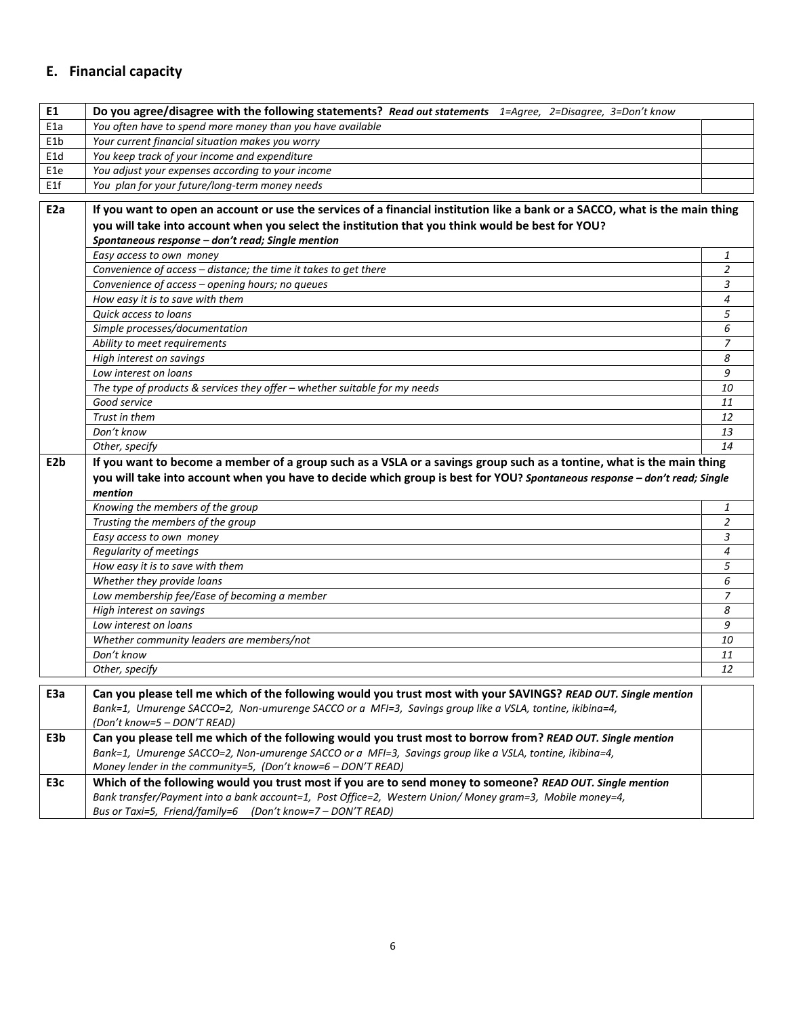# **E. Financial capacity**

| E1               | Do you agree/disagree with the following statements? Read out statements 1=Agree, 2=Disagree, 3=Don't know                                                                                                                |                |
|------------------|---------------------------------------------------------------------------------------------------------------------------------------------------------------------------------------------------------------------------|----------------|
| E <sub>1a</sub>  | You often have to spend more money than you have available                                                                                                                                                                |                |
| E <sub>1</sub> b | Your current financial situation makes you worry                                                                                                                                                                          |                |
| E <sub>1</sub> d | You keep track of your income and expenditure                                                                                                                                                                             |                |
| E1e              | You adjust your expenses according to your income                                                                                                                                                                         |                |
| E1f              | You plan for your future/long-term money needs                                                                                                                                                                            |                |
| E <sub>2</sub> a | If you want to open an account or use the services of a financial institution like a bank or a SACCO, what is the main thing                                                                                              |                |
|                  | you will take into account when you select the institution that you think would be best for YOU?                                                                                                                          |                |
|                  | Spontaneous response - don't read; Single mention                                                                                                                                                                         |                |
|                  | Easy access to own money                                                                                                                                                                                                  | 1              |
|                  | Convenience of access - distance; the time it takes to get there                                                                                                                                                          | $\overline{2}$ |
|                  | Convenience of access - opening hours; no queues                                                                                                                                                                          | 3              |
|                  | How easy it is to save with them                                                                                                                                                                                          | $\overline{4}$ |
|                  | Quick access to loans                                                                                                                                                                                                     | 5              |
|                  | Simple processes/documentation                                                                                                                                                                                            | 6              |
|                  | Ability to meet requirements                                                                                                                                                                                              | 7              |
|                  | High interest on savings                                                                                                                                                                                                  | 8              |
|                  | Low interest on loans                                                                                                                                                                                                     | 9              |
|                  | The type of products & services they offer $-$ whether suitable for my needs                                                                                                                                              | 10             |
|                  | Good service                                                                                                                                                                                                              | 11             |
|                  | Trust in them                                                                                                                                                                                                             | 12             |
|                  | Don't know                                                                                                                                                                                                                | 13             |
|                  | Other, specify                                                                                                                                                                                                            | 14             |
| E <sub>2</sub> b | If you want to become a member of a group such as a VSLA or a savings group such as a tontine, what is the main thing                                                                                                     |                |
|                  | you will take into account when you have to decide which group is best for YOU? Spontaneous response - don't read; Single                                                                                                 |                |
|                  | mention                                                                                                                                                                                                                   |                |
|                  | Knowing the members of the group                                                                                                                                                                                          | 1              |
|                  | Trusting the members of the group                                                                                                                                                                                         | $\overline{2}$ |
|                  | Easy access to own money                                                                                                                                                                                                  | 3              |
|                  | Regularity of meetings                                                                                                                                                                                                    | 4              |
|                  | How easy it is to save with them                                                                                                                                                                                          | 5              |
|                  | Whether they provide loans                                                                                                                                                                                                | 6              |
|                  | Low membership fee/Ease of becoming a member                                                                                                                                                                              | 7              |
|                  | High interest on savings                                                                                                                                                                                                  | 8              |
|                  |                                                                                                                                                                                                                           |                |
|                  | Low interest on loans                                                                                                                                                                                                     | 9              |
|                  | Whether community leaders are members/not                                                                                                                                                                                 | 10             |
|                  | Don't know                                                                                                                                                                                                                | 11             |
|                  | Other, specify                                                                                                                                                                                                            | 12             |
| E3a              |                                                                                                                                                                                                                           |                |
|                  | Can you please tell me which of the following would you trust most with your SAVINGS? READ OUT. Single mention<br>Bank=1, Umurenge SACCO=2, Non-umurenge SACCO or a MFI=3, Savings group like a VSLA, tontine, ikibina=4, |                |
|                  | (Don't know=5 - DON'T READ)                                                                                                                                                                                               |                |
| E3b              | Can you please tell me which of the following would you trust most to borrow from? READ OUT. Single mention                                                                                                               |                |
|                  | Bank=1, Umurenge SACCO=2, Non-umurenge SACCO or a MFI=3, Savings group like a VSLA, tontine, ikibina=4,                                                                                                                   |                |
|                  | Money lender in the community=5, (Don't know=6 - DON'T READ)                                                                                                                                                              |                |
| E3c              | Which of the following would you trust most if you are to send money to someone? READ OUT. Single mention                                                                                                                 |                |
|                  | Bank transfer/Payment into a bank account=1, Post Office=2, Western Union/ Money gram=3, Mobile money=4,                                                                                                                  |                |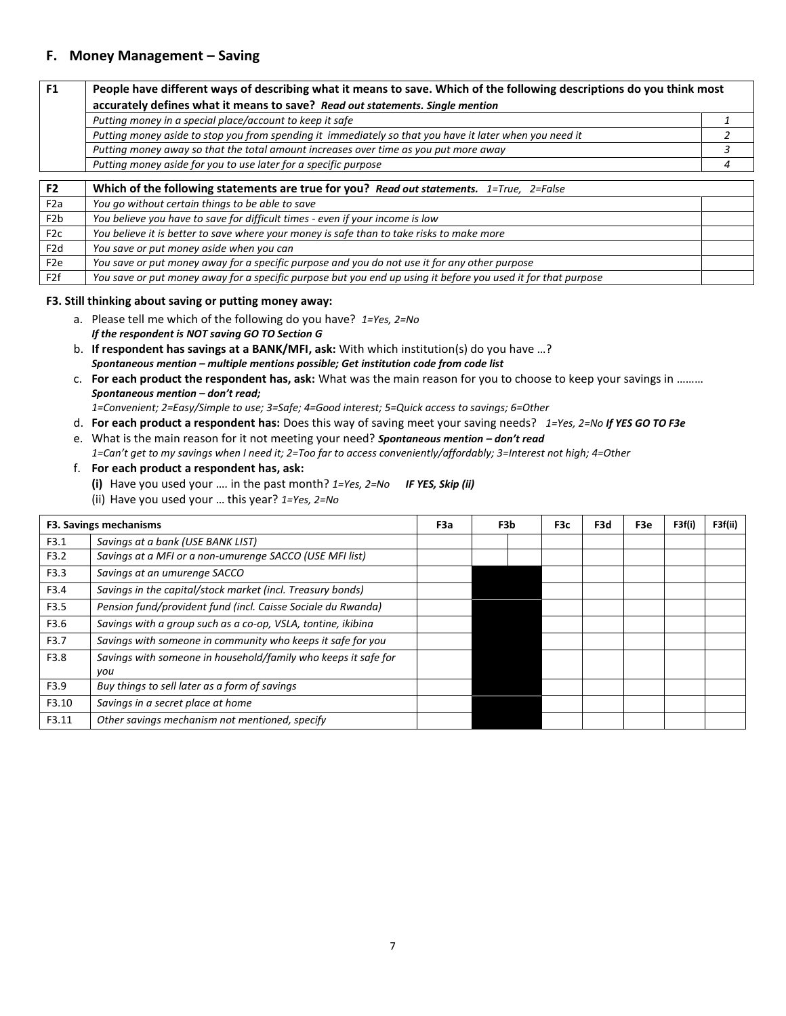# **F. Money Management – Saving**

| F <sub>1</sub>   | People have different ways of describing what it means to save. Which of the following descriptions do you think most |   |
|------------------|-----------------------------------------------------------------------------------------------------------------------|---|
|                  | accurately defines what it means to save? Read out statements. Single mention                                         |   |
|                  | Putting money in a special place/account to keep it safe                                                              |   |
|                  | Putting money aside to stop you from spending it immediately so that you have it later when you need it               |   |
|                  | Putting money away so that the total amount increases over time as you put more away                                  |   |
|                  | Putting money aside for you to use later for a specific purpose                                                       | 4 |
|                  |                                                                                                                       |   |
| F <sub>2</sub>   | Which of the following statements are true for you? Read out statements. 1=True, 2=False                              |   |
| F <sub>2</sub> a | You go without certain things to be able to save                                                                      |   |
| F <sub>2</sub> b | You believe you have to save for difficult times - even if your income is low                                         |   |
| F2c              | You believe it is better to save where your money is safe than to take risks to make more                             |   |
| F <sub>2</sub> d | You save or put money aside when you can                                                                              |   |
| F <sub>2</sub> e | You save or put money away for a specific purpose and you do not use it for any other purpose                         |   |
| F2f              | You save or put money away for a specific purpose but you end up using it before you used it for that purpose         |   |

#### **F3. Still thinking about saving or putting money away:**

- a. Please tell me which of the following do you have? *1=Yes, 2=No If the respondent is NOT saving GO TO Section G*
- b. **If respondent has savings at a BANK/MFI, ask:** With which institution(s) do you have …? *Spontaneous mention – multiple mentions possible; Get institution code from code list*
- c. **For each product the respondent has, ask:** What was the main reason for you to choose to keep your savings in ……… *Spontaneous mention – don't read;*

*1=Convenient; 2=Easy/Simple to use; 3=Safe; 4=Good interest; 5=Quick access to savings; 6=Other*

- d. **For each product a respondent has:** Does this way of saving meet your saving needs? *1=Yes, 2=No If YES GO TO F3e*
- e. What is the main reason for it not meeting your need? *Spontaneous mention – don't read 1=Can't get to my savings when I need it; 2=Too far to access conveniently/affordably; 3=Interest not high; 4=Other*
- f. **For each product a respondent has, ask:** 
	- **(i)** Have you used your …. in the past month? *1=Yes, 2=No IF YES, Skip (ii)*
	- (ii) Have you used your … this year? *1=Yes, 2=No*

|       | F3. Savings mechanisms                                                | F3a | F3b | F3c | F3d | F3e | F3f(i) | F3f(ii) |
|-------|-----------------------------------------------------------------------|-----|-----|-----|-----|-----|--------|---------|
| F3.1  | Savings at a bank (USE BANK LIST)                                     |     |     |     |     |     |        |         |
| F3.2  | Savings at a MFI or a non-umurenge SACCO (USE MFI list)               |     |     |     |     |     |        |         |
| F3.3  | Savings at an umurenge SACCO                                          |     |     |     |     |     |        |         |
| F3.4  | Savings in the capital/stock market (incl. Treasury bonds)            |     |     |     |     |     |        |         |
| F3.5  | Pension fund/provident fund (incl. Caisse Sociale du Rwanda)          |     |     |     |     |     |        |         |
| F3.6  | Savings with a group such as a co-op, VSLA, tontine, ikibina          |     |     |     |     |     |        |         |
| F3.7  | Savings with someone in community who keeps it safe for you           |     |     |     |     |     |        |         |
| F3.8  | Savings with someone in household/family who keeps it safe for<br>you |     |     |     |     |     |        |         |
| F3.9  | Buy things to sell later as a form of savings                         |     |     |     |     |     |        |         |
| F3.10 | Savings in a secret place at home                                     |     |     |     |     |     |        |         |
| F3.11 | Other savings mechanism not mentioned, specify                        |     |     |     |     |     |        |         |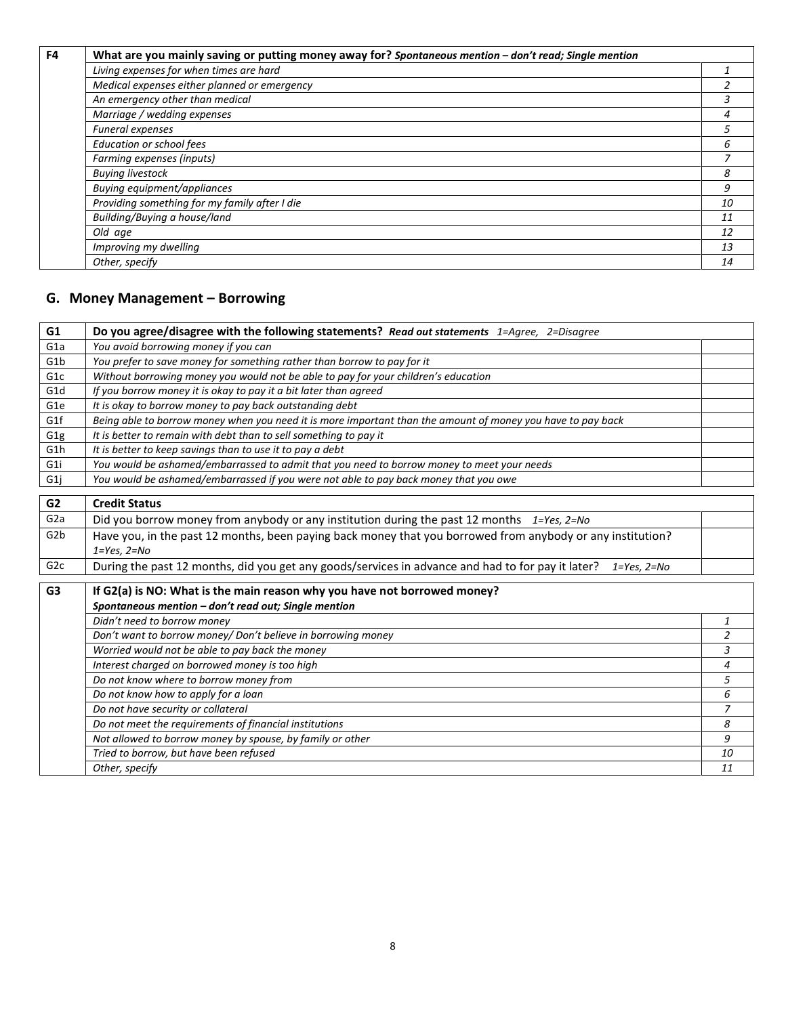| F4 | What are you mainly saving or putting money away for? Spontaneous mention - don't read; Single mention |    |  |  |  |  |  |  |
|----|--------------------------------------------------------------------------------------------------------|----|--|--|--|--|--|--|
|    | Living expenses for when times are hard                                                                |    |  |  |  |  |  |  |
|    | Medical expenses either planned or emergency                                                           |    |  |  |  |  |  |  |
|    | An emergency other than medical                                                                        |    |  |  |  |  |  |  |
|    | Marriage / wedding expenses                                                                            |    |  |  |  |  |  |  |
|    | <b>Funeral expenses</b>                                                                                |    |  |  |  |  |  |  |
|    | <b>Education or school fees</b>                                                                        |    |  |  |  |  |  |  |
|    | Farming expenses (inputs)                                                                              |    |  |  |  |  |  |  |
|    | <b>Buying livestock</b>                                                                                | 8  |  |  |  |  |  |  |
|    | Buying equipment/appliances                                                                            | 9  |  |  |  |  |  |  |
|    | Providing something for my family after I die                                                          | 10 |  |  |  |  |  |  |
|    | Building/Buying a house/land                                                                           | 11 |  |  |  |  |  |  |
|    | Old age                                                                                                | 12 |  |  |  |  |  |  |
|    | Improving my dwelling                                                                                  | 13 |  |  |  |  |  |  |
|    | Other, specify                                                                                         | 14 |  |  |  |  |  |  |

# **G. Money Management – Borrowing**

| G1               | Do you agree/disagree with the following statements? Read out statements 1=Agree, 2=Disagree                           |                |  |  |  |  |
|------------------|------------------------------------------------------------------------------------------------------------------------|----------------|--|--|--|--|
| G <sub>1</sub> a | You avoid borrowing money if you can                                                                                   |                |  |  |  |  |
| G <sub>1</sub> b | You prefer to save money for something rather than borrow to pay for it                                                |                |  |  |  |  |
| G <sub>1</sub> c | Without borrowing money you would not be able to pay for your children's education                                     |                |  |  |  |  |
| G <sub>1</sub> d | If you borrow money it is okay to pay it a bit later than agreed                                                       |                |  |  |  |  |
| G <sub>1e</sub>  | It is okay to borrow money to pay back outstanding debt                                                                |                |  |  |  |  |
| G1f              | Being able to borrow money when you need it is more important than the amount of money you have to pay back            |                |  |  |  |  |
| G <sub>1g</sub>  | It is better to remain with debt than to sell something to pay it                                                      |                |  |  |  |  |
| G <sub>1</sub> h | It is better to keep savings than to use it to pay a debt                                                              |                |  |  |  |  |
| G <sub>1</sub> i | You would be ashamed/embarrassed to admit that you need to borrow money to meet your needs                             |                |  |  |  |  |
| G <sub>1</sub> j | You would be ashamed/embarrassed if you were not able to pay back money that you owe                                   |                |  |  |  |  |
| G <sub>2</sub>   | <b>Credit Status</b>                                                                                                   |                |  |  |  |  |
| G <sub>2a</sub>  | Did you borrow money from anybody or any institution during the past 12 months $1=Yes, 2=No$                           |                |  |  |  |  |
|                  |                                                                                                                        |                |  |  |  |  |
| G <sub>2</sub> b | Have you, in the past 12 months, been paying back money that you borrowed from anybody or any institution?             |                |  |  |  |  |
|                  | $1 = Yes, 2 = No$                                                                                                      |                |  |  |  |  |
| G <sub>2c</sub>  | During the past 12 months, did you get any goods/services in advance and had to for pay it later?<br>$1 = Yes, 2 = No$ |                |  |  |  |  |
| G <sub>3</sub>   | If G2(a) is NO: What is the main reason why you have not borrowed money?                                               |                |  |  |  |  |
|                  | Spontaneous mention - don't read out; Single mention                                                                   |                |  |  |  |  |
|                  | Didn't need to borrow money                                                                                            | 1              |  |  |  |  |
|                  | Don't want to borrow money/ Don't believe in borrowing money                                                           | $\overline{2}$ |  |  |  |  |
|                  | Worried would not be able to pay back the money                                                                        | 3              |  |  |  |  |
|                  | Interest charged on borrowed money is too high                                                                         | $\overline{4}$ |  |  |  |  |
|                  | Do not know where to borrow money from                                                                                 | 5              |  |  |  |  |
|                  | Do not know how to apply for a loan                                                                                    | 6              |  |  |  |  |
|                  | Do not have security or collateral                                                                                     | 7              |  |  |  |  |
|                  | Do not meet the requirements of financial institutions                                                                 | 8              |  |  |  |  |
|                  | Not allowed to borrow money by spouse, by family or other                                                              | 9              |  |  |  |  |
|                  | Tried to borrow, but have been refused                                                                                 | 10             |  |  |  |  |
|                  | Other, specify                                                                                                         |                |  |  |  |  |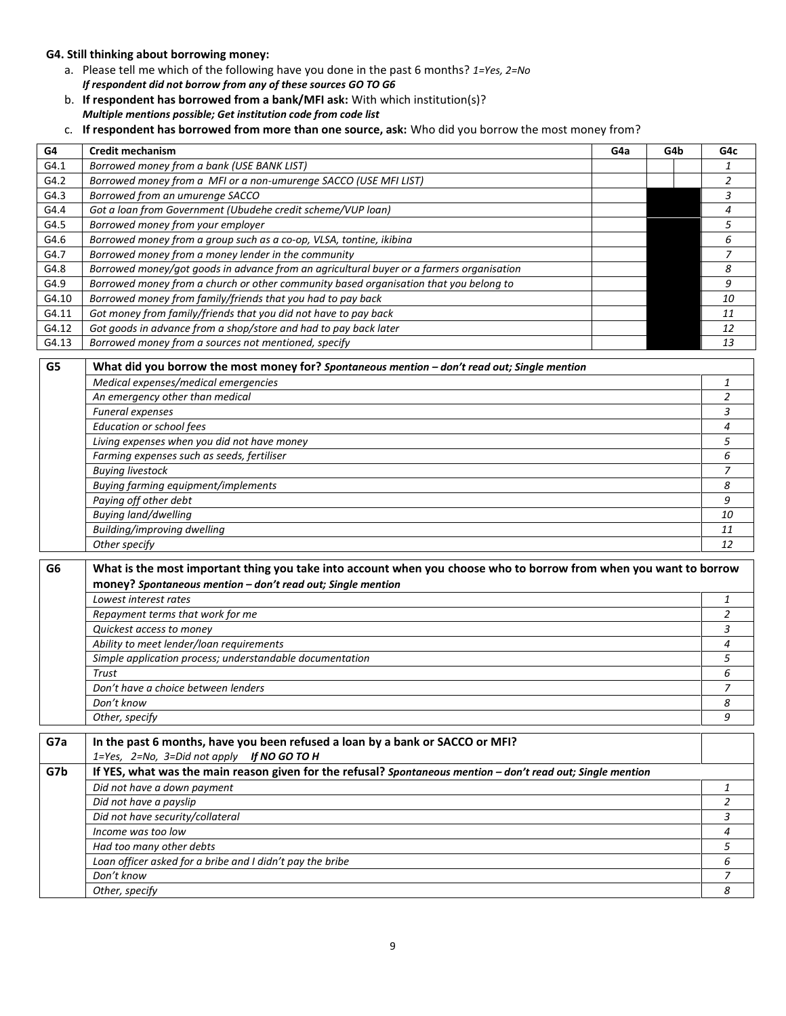#### **G4. Still thinking about borrowing money:**

- a. Please tell me which of the following have you done in the past 6 months? *1=Yes, 2=No If respondent did not borrow from any of these sources GO TO G6*
- b. **If respondent has borrowed from a bank/MFI ask:** With which institution(s)? *Multiple mentions possible; Get institution code from code list*
- c. **If respondent has borrowed from more than one source, ask:** Who did you borrow the most money from?

| G4             | <b>Credit mechanism</b>                                                                                           | G4a | G4b | G4c            |
|----------------|-------------------------------------------------------------------------------------------------------------------|-----|-----|----------------|
| G4.1           | Borrowed money from a bank (USE BANK LIST)                                                                        |     |     | 1              |
| G4.2           | Borrowed money from a MFI or a non-umurenge SACCO (USE MFI LIST)                                                  |     |     | $\overline{2}$ |
| G4.3           | Borrowed from an umurenge SACCO                                                                                   |     |     | 3              |
| G4.4           | Got a loan from Government (Ubudehe credit scheme/VUP loan)                                                       |     |     | $\overline{4}$ |
| G4.5           | Borrowed money from your employer                                                                                 |     |     | 5              |
| G4.6           | Borrowed money from a group such as a co-op, VLSA, tontine, ikibina                                               |     |     | 6              |
| G4.7           | Borrowed money from a money lender in the community                                                               |     |     | $\overline{z}$ |
| G4.8           | Borrowed money/got goods in advance from an agricultural buyer or a farmers organisation                          |     |     | 8              |
| G4.9           | Borrowed money from a church or other community based organisation that you belong to                             |     |     | 9              |
| G4.10          | Borrowed money from family/friends that you had to pay back                                                       |     |     | 10             |
| G4.11          | Got money from family/friends that you did not have to pay back                                                   |     |     | 11             |
| G4.12          | Got goods in advance from a shop/store and had to pay back later                                                  |     |     | 12             |
| G4.13          | Borrowed money from a sources not mentioned, specify                                                              |     |     | 13             |
| G5             | What did you borrow the most money for? Spontaneous mention - don't read out; Single mention                      |     |     |                |
|                | Medical expenses/medical emergencies                                                                              |     |     | 1              |
|                | An emergency other than medical                                                                                   |     |     | $\overline{a}$ |
|                | Funeral expenses                                                                                                  |     |     | 3              |
|                | <b>Education or school fees</b>                                                                                   |     |     | 4              |
|                | Living expenses when you did not have money                                                                       |     |     | 5              |
|                | Farming expenses such as seeds, fertiliser                                                                        |     |     | 6              |
|                | <b>Buying livestock</b>                                                                                           |     |     | $\overline{7}$ |
|                | <b>Buying farming equipment/implements</b>                                                                        |     |     | 8              |
|                | Paying off other debt                                                                                             |     |     | 9              |
|                | <b>Buying land/dwelling</b>                                                                                       |     |     | 10             |
|                | Building/improving dwelling                                                                                       |     |     | 11             |
|                | Other specify                                                                                                     |     |     | 12             |
| G <sub>6</sub> | What is the most important thing you take into account when you choose who to borrow from when you want to borrow |     |     |                |
|                | money? Spontaneous mention - don't read out; Single mention                                                       |     |     |                |
|                | Lowest interest rates                                                                                             |     |     | 1              |
|                | Repayment terms that work for me                                                                                  |     |     | $\overline{a}$ |
|                | Quickest access to money                                                                                          |     |     | 3              |
|                | Ability to meet lender/loan requirements                                                                          |     |     | $\overline{4}$ |
|                | Simple application process; understandable documentation                                                          |     |     | 5              |
|                | Trust                                                                                                             |     |     | 6              |
|                | Don't have a choice between lenders                                                                               |     |     | 7              |
|                | Don't know                                                                                                        |     |     | 8              |
|                | Other, specify                                                                                                    |     |     | 9              |
|                |                                                                                                                   |     |     |                |
| G7a            | In the past 6 months, have you been refused a loan by a bank or SACCO or MFI?                                     |     |     |                |
|                | 1=Yes, 2=No, 3=Did not apply If NO GO TO H                                                                        |     |     |                |
| G7b            | If YES, what was the main reason given for the refusal? Spontaneous mention - don't read out; Single mention      |     |     |                |
|                | Did not have a down payment                                                                                       |     |     | $\mathbf{1}$   |
|                | Did not have a payslip                                                                                            |     |     | 2              |
|                | Did not have security/collateral                                                                                  |     |     | 3              |
|                | Income was too low                                                                                                |     |     | 4              |
|                | Had too many other debts                                                                                          |     |     | 5              |
|                | Loan officer asked for a bribe and I didn't pay the bribe                                                         |     |     | 6              |
|                | Don't know                                                                                                        |     |     | 7              |
|                | Other, specify                                                                                                    |     |     | 8              |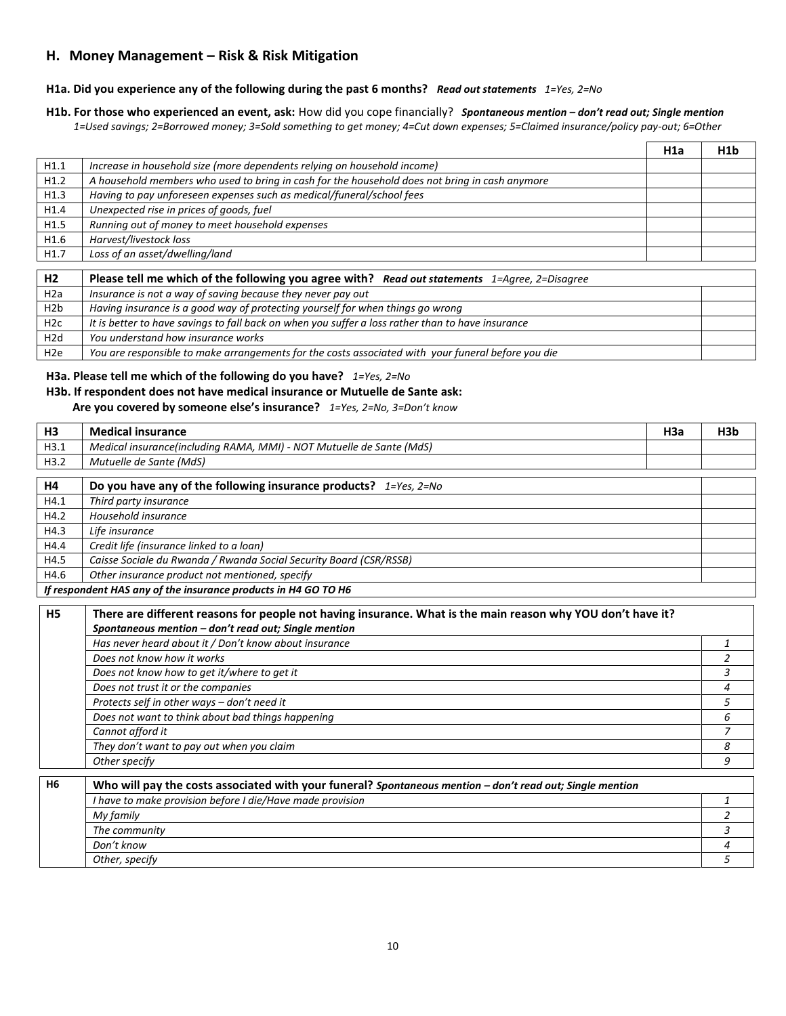# **H. Money Management – Risk & Risk Mitigation**

# **H1a. Did you experience any of the following during the past 6 months?** *Read out statements 1=Yes, 2=No*

H1b. For those who experienced an event, ask: How did you cope financially? Spontaneous mention - don't read out; Single mention *1=Used savings; 2=Borrowed money; 3=Sold something to get money; 4=Cut down expenses; 5=Claimed insurance/policy pay-out; 6=Other*

|                  |                                                                                                             | H <sub>1</sub> a | H <sub>1</sub> b |
|------------------|-------------------------------------------------------------------------------------------------------------|------------------|------------------|
| H1.1             | Increase in household size (more dependents relying on household income)                                    |                  |                  |
| H1.2             | A household members who used to bring in cash for the household does not bring in cash anymore              |                  |                  |
| H1.3             | Having to pay unforeseen expenses such as medical/funeral/school fees                                       |                  |                  |
| H1.4             | Unexpected rise in prices of goods, fuel                                                                    |                  |                  |
| H1.5             | Running out of money to meet household expenses                                                             |                  |                  |
| H1.6             | Harvest/livestock loss                                                                                      |                  |                  |
| H1.7             | Loss of an asset/dwelling/land                                                                              |                  |                  |
|                  |                                                                                                             |                  |                  |
| H <sub>2</sub>   | Please tell me which of the following you agree with? Read out statements 1=Agree, 2=Disagree               |                  |                  |
| $\cdot$ . $\sim$ | $\mathbf{r}$ , and $\mathbf{r}$ , and $\mathbf{r}$ , and $\mathbf{r}$ , and $\mathbf{r}$ , and $\mathbf{r}$ |                  |                  |

| H <sub>2</sub> a | Insurance is not a way of saving because they never pay out                                        |  |
|------------------|----------------------------------------------------------------------------------------------------|--|
| H <sub>2b</sub>  | Having insurance is a good way of protecting yourself for when things go wrong                     |  |
| H <sub>2c</sub>  | It is better to have savings to fall back on when you suffer a loss rather than to have insurance  |  |
| H2d              | You understand how insurance works                                                                 |  |
| H <sub>2e</sub>  | You are responsible to make arrangements for the costs associated with your funeral before you die |  |

#### **H3a. Please tell me which of the following do you have?** *1=Yes, 2=No*

## **H3b. If respondent does not have medical insurance or Mutuelle de Sante ask:**

 **Are you covered by someone else's insurance?** *1=Yes, 2=No, 3=Don't know*

| H <sub>3</sub> | <b>Medical insurance</b>                                               | H3a | H3b |
|----------------|------------------------------------------------------------------------|-----|-----|
| H3.1           | Medical insurance(including RAMA, MMI) - NOT Mutuelle de Sante (MdS)   |     |     |
| H3.2           | Mutuelle de Sante (MdS)                                                |     |     |
| H <sub>4</sub> | Do you have any of the following insurance products? $1 = Yes, 2 = No$ |     |     |
| H4.1           | Third party insurance                                                  |     |     |
| H4.2           | Household insurance                                                    |     |     |
| H4.3           | Life insurance                                                         |     |     |
| H4.4           | Credit life (insurance linked to a loan)                               |     |     |
| H4.5           | Caisse Sociale du Rwanda / Rwanda Social Security Board (CSR/RSSB)     |     |     |
| H4.6           | Other insurance product not mentioned, specify                         |     |     |
|                | If respondent HAS any of the insurance products in H4 GO TO H6         |     |     |

| H <sub>5</sub> | There are different reasons for people not having insurance. What is the main reason why YOU don't have it?<br>Spontaneous mention - don't read out; Single mention |  |  |  |  |
|----------------|---------------------------------------------------------------------------------------------------------------------------------------------------------------------|--|--|--|--|
|                | Has never heard about it / Don't know about insurance                                                                                                               |  |  |  |  |
|                | Does not know how it works                                                                                                                                          |  |  |  |  |
|                | Does not know how to get it/where to get it                                                                                                                         |  |  |  |  |
|                | Does not trust it or the companies                                                                                                                                  |  |  |  |  |
|                | Protects self in other ways - don't need it                                                                                                                         |  |  |  |  |
|                | Does not want to think about bad things happening                                                                                                                   |  |  |  |  |
|                | Cannot afford it                                                                                                                                                    |  |  |  |  |
|                | They don't want to pay out when you claim                                                                                                                           |  |  |  |  |
|                | Other specify                                                                                                                                                       |  |  |  |  |

| H6 | Who will pay the costs associated with your funeral? Spontaneous mention $-$ don't read out; Single mention |  |  |  |  |  |
|----|-------------------------------------------------------------------------------------------------------------|--|--|--|--|--|
|    | I have to make provision before I die/Have made provision                                                   |  |  |  |  |  |
|    | My family                                                                                                   |  |  |  |  |  |
|    | The community                                                                                               |  |  |  |  |  |
|    | Don't know                                                                                                  |  |  |  |  |  |
|    | Other, specify                                                                                              |  |  |  |  |  |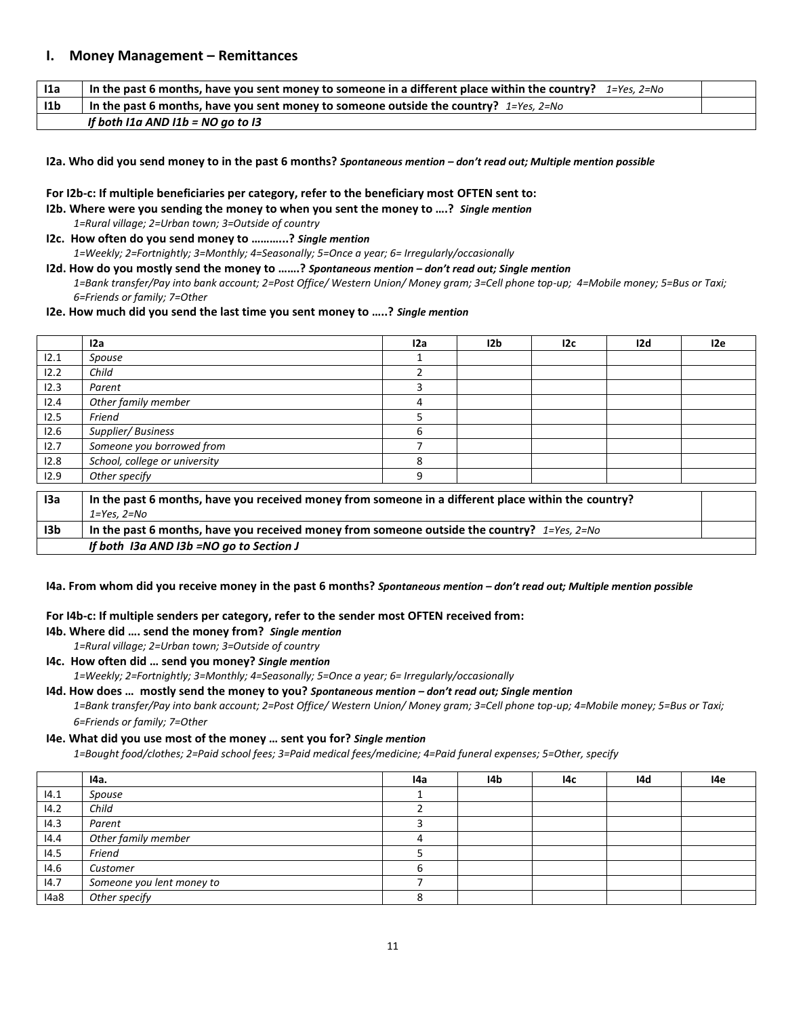### **I. Money Management – Remittances**

| 11a             | In the past 6 months, have you sent money to someone in a different place within the country? $1=Yes$ , $2=No$ |  |
|-----------------|----------------------------------------------------------------------------------------------------------------|--|
| 11 <sub>b</sub> | In the past 6 months, have you sent money to someone outside the country? $1 = Yes$ , $2 = No$                 |  |
|                 | If both I1a AND I1b = NO go to I3                                                                              |  |

#### **I2a. Who did you send money to in the past 6 months?** *Spontaneous mention – don't read out; Multiple mention possible*

#### **For I2b-c: If multiple beneficiaries per category, refer to the beneficiary most OFTEN sent to:**

**I2b. Where were you sending the money to when you sent the money to ….?** *Single mention 1=Rural village; 2=Urban town; 3=Outside of country*

**I2c. How often do you send money to ………...?** *Single mention 1=Weekly; 2=Fortnightly; 3=Monthly; 4=Seasonally; 5=Once a year; 6= Irregularly/occasionally*

**I2d. How do you mostly send the money to …….?** *Spontaneous mention – don't read out; Single mention 1=Bank transfer/Pay into bank account; 2=Post Office/ Western Union/ Money gram; 3=Cell phone top-up; 4=Mobile money; 5=Bus or Taxi; 6=Friends or family; 7=Other*

#### **I2e. How much did you send the last time you sent money to …..?** *Single mention*

|                 | 12a                                                                                                 | 12a | 12 <sub>b</sub> | 12c | 12d | 12e |
|-----------------|-----------------------------------------------------------------------------------------------------|-----|-----------------|-----|-----|-----|
| 12.1            | Spouse                                                                                              |     |                 |     |     |     |
| 12.2            | Child                                                                                               |     |                 |     |     |     |
| 12.3            | Parent                                                                                              | 3   |                 |     |     |     |
| 12.4            | Other family member                                                                                 | 4   |                 |     |     |     |
| 12.5            | Friend                                                                                              | 5   |                 |     |     |     |
| 12.6            | Supplier/Business                                                                                   | 6   |                 |     |     |     |
| 12.7            | Someone you borrowed from                                                                           |     |                 |     |     |     |
| 12.8            | School, college or university                                                                       | 8   |                 |     |     |     |
| 12.9            | Other specify                                                                                       | 9   |                 |     |     |     |
|                 |                                                                                                     |     |                 |     |     |     |
| 13a             | In the past 6 months, have you received money from someone in a different place within the country? |     |                 |     |     |     |
|                 | $1 = Yes, 2 = No$                                                                                   |     |                 |     |     |     |
| 13 <sub>b</sub> | In the past 6 months, have you received money from someone outside the country? $1 = Yes, 2 = No$   |     |                 |     |     |     |
|                 | If both I3a AND I3b =NO go to Section J                                                             |     |                 |     |     |     |

#### **I4a. From whom did you receive money in the past 6 months?** *Spontaneous mention – don't read out; Multiple mention possible*

#### **For I4b-c: If multiple senders per category, refer to the sender most OFTEN received from:**

**I4b. Where did …. send the money from?** *Single mention*

*1=Rural village; 2=Urban town; 3=Outside of country*

**I4c. How often did … send you money?** *Single mention 1=Weekly; 2=Fortnightly; 3=Monthly; 4=Seasonally; 5=Once a year; 6= Irregularly/occasionally*

**I4d. How does … mostly send the money to you?** *Spontaneous mention – don't read out; Single mention 1=Bank transfer/Pay into bank account; 2=Post Office/ Western Union/ Money gram; 3=Cell phone top-up; 4=Mobile money; 5=Bus or Taxi; 6=Friends or family; 7=Other*

#### **I4e. What did you use most of the money … sent you for?** *Single mention*

*1=Bought food/clothes; 2=Paid school fees; 3=Paid medical fees/medicine; 4=Paid funeral expenses; 5=Other, specify*

|      | 14a.                      | l4a | I4b | l4c | 14d | 14e |
|------|---------------------------|-----|-----|-----|-----|-----|
| 14.1 | Spouse                    |     |     |     |     |     |
| 14.2 | Child                     |     |     |     |     |     |
| 14.3 | Parent                    |     |     |     |     |     |
| 14.4 | Other family member       |     |     |     |     |     |
| 14.5 | Friend                    |     |     |     |     |     |
| 14.6 | Customer                  |     |     |     |     |     |
| 14.7 | Someone you lent money to |     |     |     |     |     |
| I4a8 | Other specify             |     |     |     |     |     |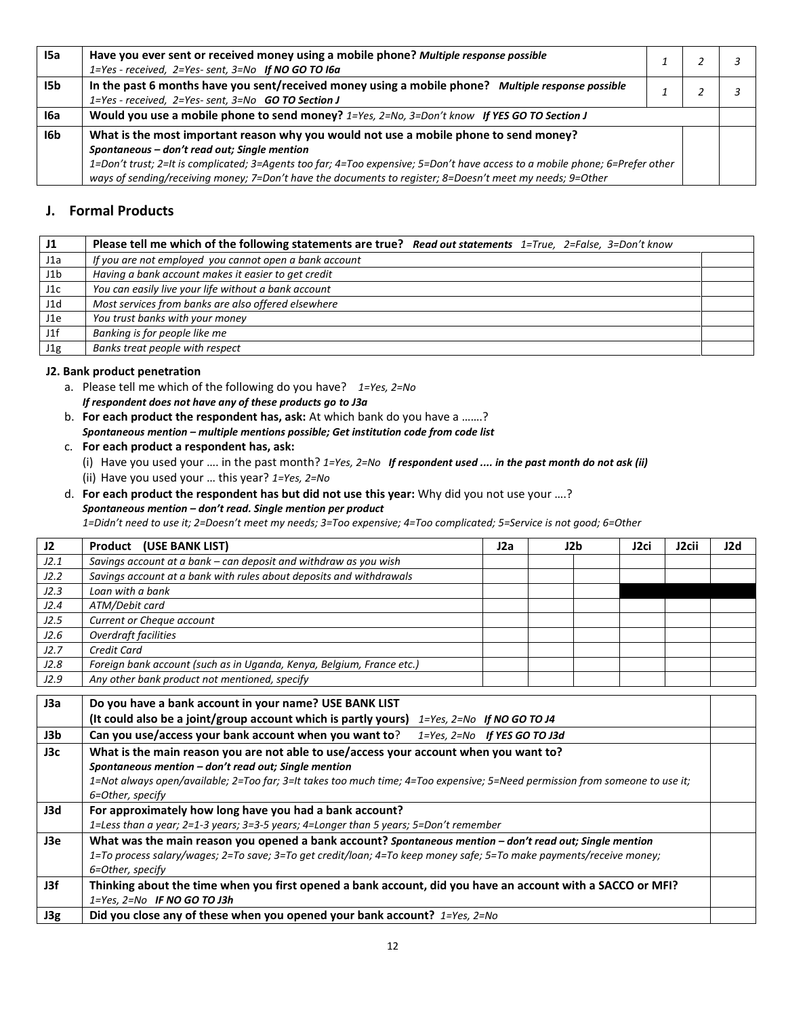| I5a  | Have you ever sent or received money using a mobile phone? Multiple response possible<br>1=Yes - received, 2=Yes- sent, 3=No If NO GO TO I6a                                                                                                                                                                                                                                       |  |  |  |
|------|------------------------------------------------------------------------------------------------------------------------------------------------------------------------------------------------------------------------------------------------------------------------------------------------------------------------------------------------------------------------------------|--|--|--|
| I5b. | In the past 6 months have you sent/received money using a mobile phone? Multiple response possible<br>1=Yes - received, 2=Yes- sent, 3=No GO TO Section J                                                                                                                                                                                                                          |  |  |  |
| 16a  | Would you use a mobile phone to send money? 1=Yes, 2=No, 3=Don't know If YES GO TO Section J                                                                                                                                                                                                                                                                                       |  |  |  |
| I6b  | What is the most important reason why you would not use a mobile phone to send money?<br>Spontaneous - don't read out; Single mention<br>1=Don't trust; 2=It is complicated; 3=Agents too far; 4=Too expensive; 5=Don't have access to a mobile phone; 6=Prefer other<br>ways of sending/receiving money; 7=Don't have the documents to register; 8=Doesn't meet my needs; 9=Other |  |  |  |

# **J. Formal Products**

| J1  | Please tell me which of the following statements are true? Read out statements $1 = True, 2 = False, 3 = Don't know$ |  |
|-----|----------------------------------------------------------------------------------------------------------------------|--|
| J1a | If you are not employed you cannot open a bank account                                                               |  |
| J1b | Having a bank account makes it easier to get credit                                                                  |  |
| J1c | You can easily live your life without a bank account                                                                 |  |
| J1d | Most services from banks are also offered elsewhere                                                                  |  |
| J1e | You trust banks with your money                                                                                      |  |
| J1f | Banking is for people like me                                                                                        |  |
| J1g | Banks treat people with respect                                                                                      |  |

### **J2. Bank product penetration**

- a. Please tell me which of the following do you have? *1=Yes, 2=No If respondent does not have any of these products go to J3a*
- b. **For each product the respondent has, ask:** At which bank do you have a …….? *Spontaneous mention – multiple mentions possible; Get institution code from code list*
- c. **For each product a respondent has, ask:** 
	- (i) Have you used your …. in the past month? *1=Yes, 2=No If respondent used .... in the past month do not ask (ii)*  (ii) Have you used your … this year? *1=Yes, 2=No*
- d. **For each product the respondent has but did not use this year:** Why did you not use your ….? *Spontaneous mention – don't read. Single mention per product*

*1=Didn't need to use it; 2=Doesn't meet my needs; 3=Too expensive; 4=Too complicated; 5=Service is not good; 6=Other*

| J2   | Product (USE BANK LIST)                                                                                                                                                                                                                                                                           | J2a | J2b | J <sub>2ci</sub> | J <sub>2</sub> cii | J2d |
|------|---------------------------------------------------------------------------------------------------------------------------------------------------------------------------------------------------------------------------------------------------------------------------------------------------|-----|-----|------------------|--------------------|-----|
| J2.1 | Savings account at a bank - can deposit and withdraw as you wish                                                                                                                                                                                                                                  |     |     |                  |                    |     |
| J2.2 | Savings account at a bank with rules about deposits and withdrawals                                                                                                                                                                                                                               |     |     |                  |                    |     |
| J2.3 | Loan with a bank                                                                                                                                                                                                                                                                                  |     |     |                  |                    |     |
| J2.4 | ATM/Debit card                                                                                                                                                                                                                                                                                    |     |     |                  |                    |     |
| J2.5 | Current or Cheque account                                                                                                                                                                                                                                                                         |     |     |                  |                    |     |
| J2.6 | Overdraft facilities                                                                                                                                                                                                                                                                              |     |     |                  |                    |     |
| J2.7 | Credit Card                                                                                                                                                                                                                                                                                       |     |     |                  |                    |     |
| J2.8 | Foreign bank account (such as in Uganda, Kenya, Belgium, France etc.)                                                                                                                                                                                                                             |     |     |                  |                    |     |
| J2.9 | Any other bank product not mentioned, specify                                                                                                                                                                                                                                                     |     |     |                  |                    |     |
| J3a  | Do you have a bank account in your name? USE BANK LIST<br>(It could also be a joint/group account which is partly yours) $1 = Yes$ , $2 = No$ If NO GO TO J4                                                                                                                                      |     |     |                  |                    |     |
| J3b  | Can you use/access your bank account when you want to?<br>$1 = Yes$ , $2 = No$ If YES GO TO J3d                                                                                                                                                                                                   |     |     |                  |                    |     |
| J3c  | What is the main reason you are not able to use/access your account when you want to?<br>Spontaneous mention - don't read out; Single mention<br>1=Not always open/available; 2=Too far; 3=It takes too much time; 4=Too expensive; 5=Need permission from someone to use it;<br>6=Other, specify |     |     |                  |                    |     |
| J3d  | For approximately how long have you had a bank account?                                                                                                                                                                                                                                           |     |     |                  |                    |     |
|      | 1=Less than a year; 2=1-3 years; 3=3-5 years; 4=Longer than 5 years; 5=Don't remember                                                                                                                                                                                                             |     |     |                  |                    |     |
| J3e  | What was the main reason you opened a bank account? Spontaneous mention - don't read out; Single mention                                                                                                                                                                                          |     |     |                  |                    |     |
|      | 1=To process salary/wages; 2=To save; 3=To get credit/loan; 4=To keep money safe; 5=To make payments/receive money;<br>6=Other, specify                                                                                                                                                           |     |     |                  |                    |     |
| J3f  | Thinking about the time when you first opened a bank account, did you have an account with a SACCO or MFI?<br>$1 = Yes$ , $2 = No$ IF NO GO TO J3h                                                                                                                                                |     |     |                  |                    |     |
| J3g  | Did you close any of these when you opened your bank account? $1 = Yes, 2 = No$                                                                                                                                                                                                                   |     |     |                  |                    |     |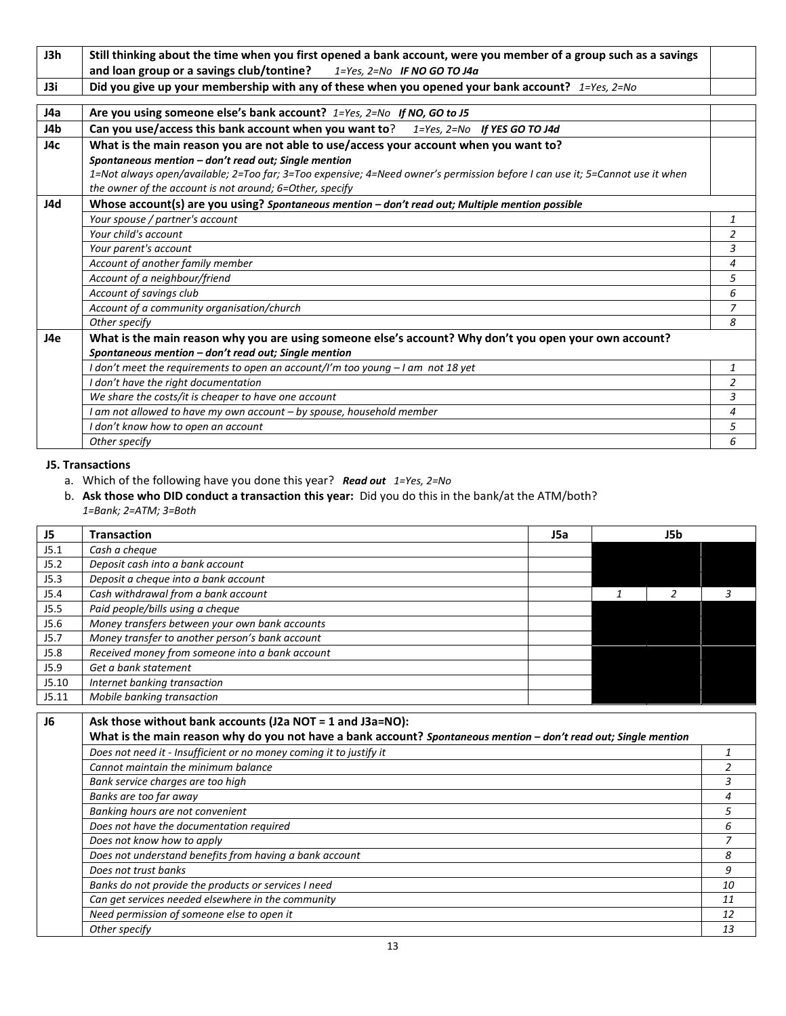| J3h | Still thinking about the time when you first opened a bank account, were you member of a group such as a savings             |                |
|-----|------------------------------------------------------------------------------------------------------------------------------|----------------|
|     | and loan group or a savings club/tontine?<br>$1 = Yes$ , $2 = No$ IF NO GO TO J4a                                            |                |
| J3i | Did you give up your membership with any of these when you opened your bank account? $1 = Yes, 2=No$                         |                |
|     |                                                                                                                              |                |
| J4a | Are you using someone else's bank account? 1=Yes, 2=No If NO, GO to J5                                                       |                |
| J4b | Can you use/access this bank account when you want to?<br>$1 = Yes$ , $2 = No$ If YES GO TO J4d                              |                |
| J4c | What is the main reason you are not able to use/access your account when you want to?                                        |                |
|     | Spontaneous mention - don't read out; Single mention                                                                         |                |
|     | 1=Not always open/available; 2=Too far; 3=Too expensive; 4=Need owner's permission before I can use it; 5=Cannot use it when |                |
|     | the owner of the account is not around; 6=Other, specify                                                                     |                |
| J4d | Whose account(s) are you using? Spontaneous mention - don't read out; Multiple mention possible                              |                |
|     | Your spouse / partner's account                                                                                              | 1              |
|     | Your child's account                                                                                                         | $\overline{2}$ |
|     | Your parent's account                                                                                                        | 3              |
|     | Account of another family member                                                                                             | $\overline{4}$ |
|     | Account of a neighbour/friend                                                                                                | 5              |
|     | Account of savings club                                                                                                      | 6              |
|     | Account of a community organisation/church                                                                                   | $\overline{z}$ |
|     | Other specify                                                                                                                | 8              |
| J4e | What is the main reason why you are using someone else's account? Why don't you open your own account?                       |                |
|     | Spontaneous mention - don't read out; Single mention                                                                         |                |
|     | I don't meet the requirements to open an account/I'm too young - I am not 18 yet                                             | 1              |
|     | I don't have the right documentation                                                                                         | $\overline{2}$ |
|     | We share the costs/it is cheaper to have one account                                                                         | 3              |
|     | I am not allowed to have my own account - by spouse, household member                                                        | 4              |
|     | I don't know how to open an account                                                                                          | 5              |
|     | Other specify                                                                                                                | 6              |

#### **J5. Transactions**

- a. Which of the following have you done this year? *Read out 1=Yes, 2=No*
- b. **Ask those who DID conduct a transaction this year:** Did you do this in the bank/at the ATM/both? *1=Bank; 2=ATM; 3=Both*

| J5    | <b>Transaction</b>                              | J5a | J5b |  |
|-------|-------------------------------------------------|-----|-----|--|
| J5.1  | Cash a cheque                                   |     |     |  |
| J5.2  | Deposit cash into a bank account                |     |     |  |
| J5.3  | Deposit a cheque into a bank account            |     |     |  |
| J5.4  | Cash withdrawal from a bank account             |     |     |  |
| J5.5  | Paid people/bills using a cheque                |     |     |  |
| J5.6  | Money transfers between your own bank accounts  |     |     |  |
| J5.7  | Money transfer to another person's bank account |     |     |  |
| J5.8  | Received money from someone into a bank account |     |     |  |
| J5.9  | Get a bank statement                            |     |     |  |
| J5.10 | Internet banking transaction                    |     |     |  |
| J5.11 | Mobile banking transaction                      |     |     |  |

| J6 | Ask those without bank accounts (J2a NOT = 1 and J3a=NO):                                                        |    |
|----|------------------------------------------------------------------------------------------------------------------|----|
|    | What is the main reason why do you not have a bank account? Spontaneous mention - don't read out; Single mention |    |
|    | Does not need it - Insufficient or no money coming it to justify it                                              |    |
|    | Cannot maintain the minimum balance                                                                              |    |
|    | Bank service charges are too high                                                                                |    |
|    | Banks are too far away                                                                                           |    |
|    | Banking hours are not convenient                                                                                 |    |
|    | Does not have the documentation required                                                                         | 6  |
|    | Does not know how to apply                                                                                       |    |
|    | Does not understand benefits from having a bank account                                                          | 8  |
|    | Does not trust banks                                                                                             | 9  |
|    | Banks do not provide the products or services I need                                                             | 10 |
|    | Can get services needed elsewhere in the community                                                               | 11 |
|    | Need permission of someone else to open it                                                                       | 12 |
|    | Other specify                                                                                                    | 13 |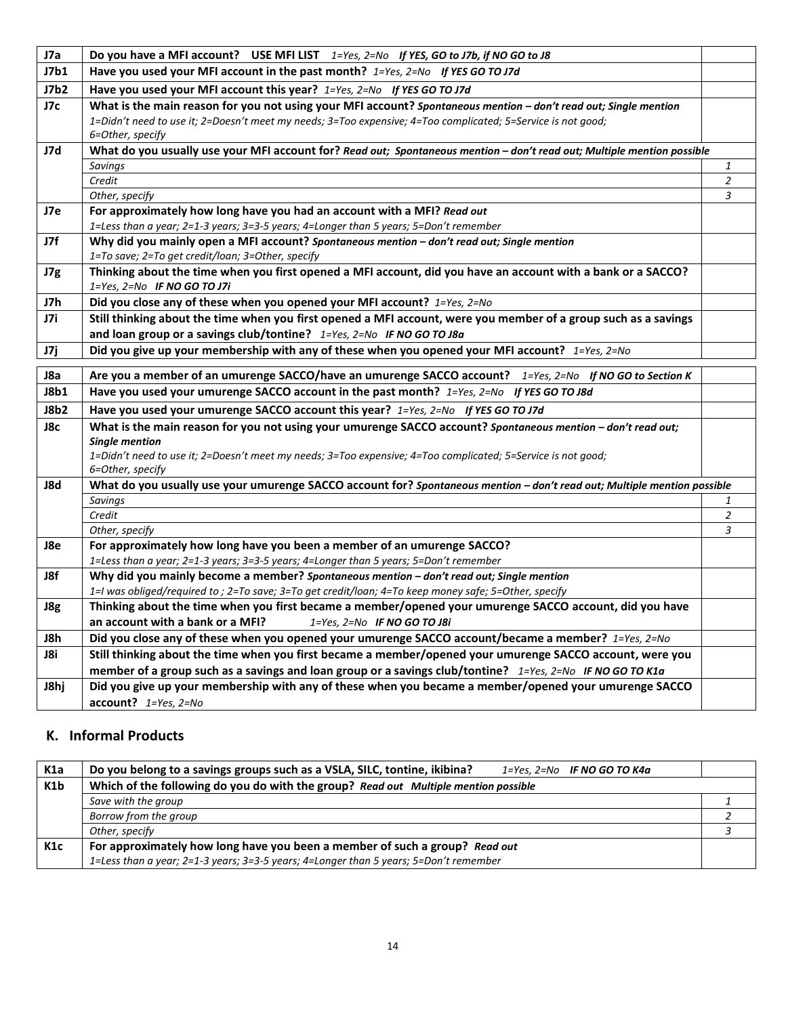| J7a  | Do you have a MFI account? USE MFI LIST $1 = Yes, 2 = No$ If YES, GO to J7b, if NO GO to J8                                                          |                     |
|------|------------------------------------------------------------------------------------------------------------------------------------------------------|---------------------|
| J7b1 | Have you used your MFI account in the past month? 1=Yes, 2=No If YES GO TO J7d                                                                       |                     |
| J7b2 | Have you used your MFI account this year? 1=Yes, 2=No If YES GO TO J7d                                                                               |                     |
| J7c  | What is the main reason for you not using your MFI account? Spontaneous mention - don't read out; Single mention                                     |                     |
|      | 1=Didn't need to use it; 2=Doesn't meet my needs; 3=Too expensive; 4=Too complicated; 5=Service is not good;                                         |                     |
|      | 6=Other, specify                                                                                                                                     |                     |
| J7d  | What do you usually use your MFI account for? Read out; Spontaneous mention - don't read out; Multiple mention possible                              |                     |
|      | <b>Savings</b>                                                                                                                                       | 1                   |
|      | Credit                                                                                                                                               | $\overline{2}$      |
|      | Other, specify                                                                                                                                       | $\mathfrak{Z}$      |
| J7e  | For approximately how long have you had an account with a MFI? Read out                                                                              |                     |
|      | 1=Less than a year; 2=1-3 years; 3=3-5 years; 4=Longer than 5 years; 5=Don't remember                                                                |                     |
| J7f  | Why did you mainly open a MFI account? Spontaneous mention - don't read out; Single mention                                                          |                     |
|      | 1=To save; 2=To get credit/loan; 3=Other, specify                                                                                                    |                     |
| J7g  | Thinking about the time when you first opened a MFI account, did you have an account with a bank or a SACCO?<br>$1 = Yes$ , $2 = No$ IF NO GO TO J7i |                     |
| J7h  | Did you close any of these when you opened your MFI account? 1=Yes, 2=No                                                                             |                     |
| J7i  | Still thinking about the time when you first opened a MFI account, were you member of a group such as a savings                                      |                     |
|      | and loan group or a savings club/tontine? 1=Yes, 2=No IF NO GO TO J8a                                                                                |                     |
| J7j  | Did you give up your membership with any of these when you opened your MFI account? $1 = Yes, 2=No$                                                  |                     |
|      |                                                                                                                                                      |                     |
| J8a  | Are you a member of an umurenge SACCO/have an umurenge SACCO account? 1=Yes, 2=No If NO GO to Section K                                              |                     |
| J8b1 | Have you used your umurenge SACCO account in the past month? 1=Yes, 2=No If YES GO TO J8d                                                            |                     |
| J8b2 | Have you used your umurenge SACCO account this year? 1=Yes, 2=No If YES GO TO J7d                                                                    |                     |
| J8c  | What is the main reason for you not using your umurenge SACCO account? Spontaneous mention - don't read out;                                         |                     |
|      | Single mention                                                                                                                                       |                     |
|      | 1=Didn't need to use it; 2=Doesn't meet my needs; 3=Too expensive; 4=Too complicated; 5=Service is not good;                                         |                     |
|      | 6=Other, specify                                                                                                                                     |                     |
| J8d  | What do you usually use your umurenge SACCO account for? Spontaneous mention - don't read out; Multiple mention possible                             |                     |
|      | <b>Savings</b><br>Credit                                                                                                                             | 1<br>$\overline{2}$ |
|      | Other, specify                                                                                                                                       | $\mathfrak{Z}$      |
| J8e  | For approximately how long have you been a member of an umurenge SACCO?                                                                              |                     |
|      | 1=Less than a year; 2=1-3 years; 3=3-5 years; 4=Longer than 5 years; 5=Don't remember                                                                |                     |
| J8f  | Why did you mainly become a member? Spontaneous mention - don't read out; Single mention                                                             |                     |
|      | 1=I was obliged/required to ; 2=To save; 3=To get credit/loan; 4=To keep money safe; 5=Other, specify                                                |                     |
| J8g  | Thinking about the time when you first became a member/opened your umurenge SACCO account, did you have                                              |                     |
|      | an account with a bank or a MFI?<br>$1 = Yes$ , $2 = No$ IF NO GO TO J8i                                                                             |                     |
| J8h  | Did you close any of these when you opened your umurenge SACCO account/became a member? 1=Yes, 2=No                                                  |                     |
| J8i  | Still thinking about the time when you first became a member/opened your umurenge SACCO account, were you                                            |                     |
|      | member of a group such as a savings and loan group or a savings club/tontine? $1 = Yes$ , $2 = No$ IF NO GO TO K1a                                   |                     |
| J8hj | Did you give up your membership with any of these when you became a member/opened your umurenge SACCO                                                |                     |
|      | $account?$ $1 = Yes, 2 = No$                                                                                                                         |                     |
|      |                                                                                                                                                      |                     |

# **K. Informal Products**

| K1a              | Do you belong to a savings groups such as a VSLA, SILC, tontine, ikibina?<br>$1 = Yes$ , $2 = No$ IF NO GO TO K4a |  |
|------------------|-------------------------------------------------------------------------------------------------------------------|--|
| K <sub>1</sub> b | Which of the following do you do with the group? Read out Multiple mention possible                               |  |
|                  | Save with the group                                                                                               |  |
|                  | Borrow from the group                                                                                             |  |
|                  | Other, specify                                                                                                    |  |
| K <sub>1</sub> c | For approximately how long have you been a member of such a group? Read out                                       |  |
|                  | 1=Less than a year; 2=1-3 years; 3=3-5 years; 4=Longer than 5 years; 5=Don't remember                             |  |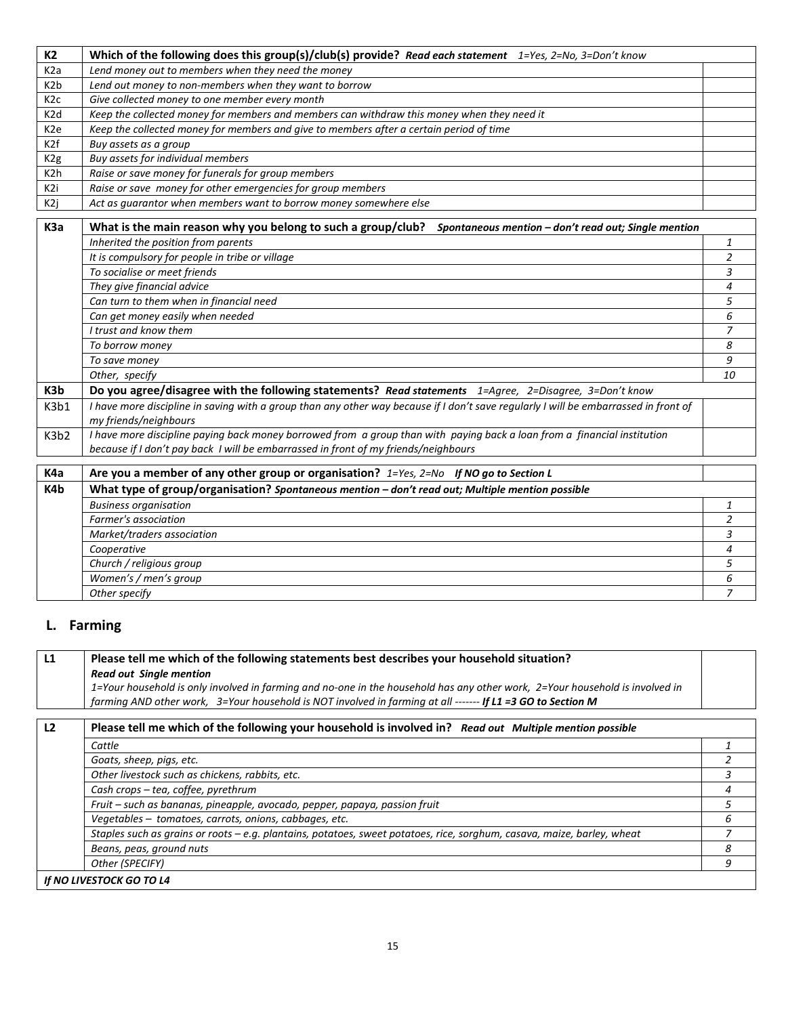| K2               | Which of the following does this group(s)/club(s) provide? Read each statement $1 = Yes$ , $2 = No$ , $3 = Don't know$ |  |
|------------------|------------------------------------------------------------------------------------------------------------------------|--|
| K2a              | Lend money out to members when they need the money                                                                     |  |
| K2b              | Lend out money to non-members when they want to borrow                                                                 |  |
| K2c              | Give collected money to one member every month                                                                         |  |
| K <sub>2</sub> d | Keep the collected money for members and members can withdraw this money when they need it                             |  |
| K2e              | Keep the collected money for members and give to members after a certain period of time                                |  |
| K2f              | Buy assets as a group                                                                                                  |  |
| K <sub>2g</sub>  | Buy assets for individual members                                                                                      |  |
| K2h              | Raise or save money for funerals for group members                                                                     |  |
| K2i              | Raise or save money for other emergencies for group members                                                            |  |
| K2j              | Act as quarantor when members want to borrow money somewhere else                                                      |  |
|                  |                                                                                                                        |  |

| K <sub>3</sub> a | What is the main reason why you belong to such a group/club?<br>Spontaneous mention - don't read out; Single mention                                                                                            |    |
|------------------|-----------------------------------------------------------------------------------------------------------------------------------------------------------------------------------------------------------------|----|
|                  | Inherited the position from parents                                                                                                                                                                             |    |
|                  | It is compulsory for people in tribe or village                                                                                                                                                                 |    |
|                  | To socialise or meet friends                                                                                                                                                                                    | 3  |
|                  | They give financial advice                                                                                                                                                                                      | 4  |
|                  | Can turn to them when in financial need                                                                                                                                                                         | 5. |
|                  | Can get money easily when needed                                                                                                                                                                                | 6  |
|                  | I trust and know them                                                                                                                                                                                           |    |
|                  | To borrow money                                                                                                                                                                                                 | 8  |
|                  | To save money                                                                                                                                                                                                   | 9  |
|                  | Other, specify                                                                                                                                                                                                  | 10 |
| K3b              | Do you agree/disagree with the following statements? Read statements 1=Agree, 2=Disagree, 3=Don't know                                                                                                          |    |
| K3b1             | I have more discipline in saving with a group than any other way because if I don't save regularly I will be embarrassed in front of<br>my friends/neighbours                                                   |    |
| K3b2             | I have more discipline paying back money borrowed from a group than with paying back a loan from a financial institution<br>because if I don't pay back I will be embarrassed in front of my friends/neighbours |    |
|                  |                                                                                                                                                                                                                 |    |

| K4a | Are you a member of any other group or organisation? $1 = Yes$ , $2 = No$ If NO go to Section L  |  |
|-----|--------------------------------------------------------------------------------------------------|--|
| K4b | What type of group/organisation? Spontaneous mention - don't read out; Multiple mention possible |  |
|     | <b>Business organisation</b>                                                                     |  |
|     | Farmer's association                                                                             |  |
|     | Market/traders association                                                                       |  |
|     | Cooperative                                                                                      |  |
|     | Church / religious group                                                                         |  |
|     | Women's / men's group                                                                            |  |
|     | Other specify                                                                                    |  |

# **L. Farming**

# **L1 Please tell me which of the following statements best describes your household situation?**  *Read out Single mention 1=Your household is only involved in farming and no-one in the household has any other work, 2=Your household is involved in farming AND other work, 3=Your household is NOT involved in farming at all ------- If L1 =3 GO to Section M* **L2 Please tell me which of the following your household is involved in?** *Read out Multiple mention possible Cattle 1 Goats, sheep, pigs, etc. 2 Other livestock such as chickens, rabbits, etc. 3 Cash crops – tea, coffee, pyrethrum 4 Fruit – such as bananas, pineapple, avocado, pepper, papaya, passion fruit 5 Vegetables – tomatoes, carrots, onions, cabbages, etc. 6 Staples such as grains or roots – e.g. plantains, potatoes, sweet potatoes, rice, sorghum, casava, maize, barley, wheat 7 Beans, peas, ground nuts 8 Other (SPECIFY) 9*

*If NO LIVESTOCK GO TO L4*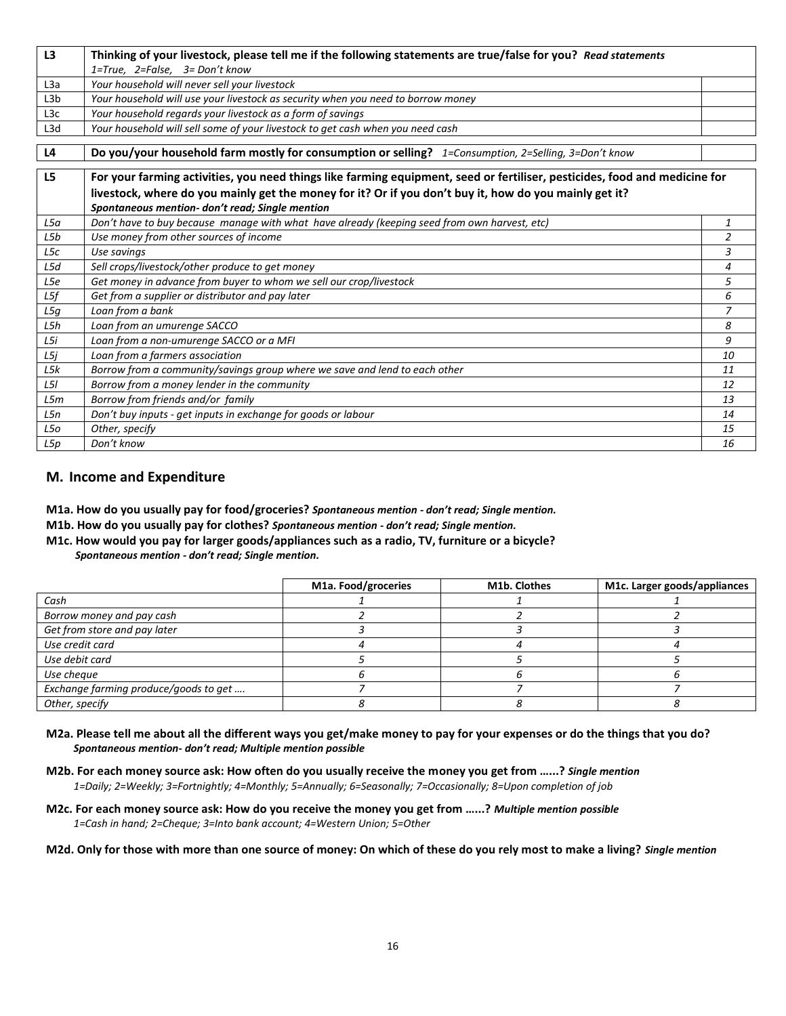| L3               | Thinking of your livestock, please tell me if the following statements are true/false for you? Read statements             |                |
|------------------|----------------------------------------------------------------------------------------------------------------------------|----------------|
|                  | $1 = True$ , $2 = False$ , $3 = Don't know$                                                                                |                |
| L <sub>3</sub> a | Your household will never sell your livestock                                                                              |                |
| L3b              | Your household will use your livestock as security when you need to borrow money                                           |                |
| L <sub>3</sub> c | Your household regards your livestock as a form of savings                                                                 |                |
| L <sub>3</sub> d | Your household will sell some of your livestock to get cash when you need cash                                             |                |
|                  |                                                                                                                            |                |
| L4               | Do you/your household farm mostly for consumption or selling? 1=Consumption, 2=Selling, 3=Don't know                       |                |
| L <sub>5</sub>   | For your farming activities, you need things like farming equipment, seed or fertiliser, pesticides, food and medicine for |                |
|                  | livestock, where do you mainly get the money for it? Or if you don't buy it, how do you mainly get it?                     |                |
|                  | Spontaneous mention- don't read; Single mention                                                                            |                |
| L5a              | Don't have to buy because manage with what have already (keeping seed from own harvest, etc)                               | $\mathbf{1}$   |
| L5b              | Use money from other sources of income                                                                                     | $\overline{2}$ |
| L5c              | Use savings                                                                                                                | 3              |
| L5d              | Sell crops/livestock/other produce to get money                                                                            | 4              |
| L5e              | Get money in advance from buyer to whom we sell our crop/livestock                                                         | 5              |
| L5f              | Get from a supplier or distributor and pay later                                                                           | 6              |
| L5g              | Loan from a bank                                                                                                           | 7              |
| L5h              | Loan from an umurenge SACCO                                                                                                | 8              |
| L5i              | Loan from a non-umurenge SACCO or a MFI                                                                                    | 9              |
| L5j              | Loan from a farmers association                                                                                            | 10             |
| L5k              | Borrow from a community/savings group where we save and lend to each other                                                 | 11             |
| L5I              | Borrow from a money lender in the community                                                                                | 12             |
| L5m              | Borrow from friends and/or family                                                                                          | 13             |
| L5n              | Don't buy inputs - get inputs in exchange for goods or labour                                                              | 14             |
| L5o              | Other, specify                                                                                                             | 15             |
| L5p              | Don't know                                                                                                                 | 16             |

### **M. Income and Expenditure**

**M1a. How do you usually pay for food/groceries?** *Spontaneous mention - don't read; Single mention.*

**M1b. How do you usually pay for clothes?** *Spontaneous mention - don't read; Single mention.*

**M1c. How would you pay for larger goods/appliances such as a radio, TV, furniture or a bicycle?** *Spontaneous mention - don't read; Single mention.*

|                                       | M1a. Food/groceries | M1b. Clothes | M1c. Larger goods/appliances |
|---------------------------------------|---------------------|--------------|------------------------------|
| Cash                                  |                     |              |                              |
| Borrow money and pay cash             |                     |              |                              |
| Get from store and pay later          |                     |              |                              |
| Use credit card                       |                     |              |                              |
| Use debit card                        |                     |              |                              |
| Use cheque                            |                     |              |                              |
| Exchange farming produce/goods to get |                     |              |                              |
| Other, specify                        |                     |              |                              |

- **M2a. Please tell me about all the different ways you get/make money to pay for your expenses or do the things that you do?**  *Spontaneous mention- don't read; Multiple mention possible*
- **M2b. For each money source ask: How often do you usually receive the money you get from …...?** *Single mention 1=Daily; 2=Weekly; 3=Fortnightly; 4=Monthly; 5=Annually; 6=Seasonally; 7=Occasionally; 8=Upon completion of job*
- **M2c. For each money source ask: How do you receive the money you get from …...?** *Multiple mention possible 1=Cash in hand; 2=Cheque; 3=Into bank account; 4=Western Union; 5=Other*

**M2d. Only for those with more than one source of money: On which of these do you rely most to make a living?** *Single mention*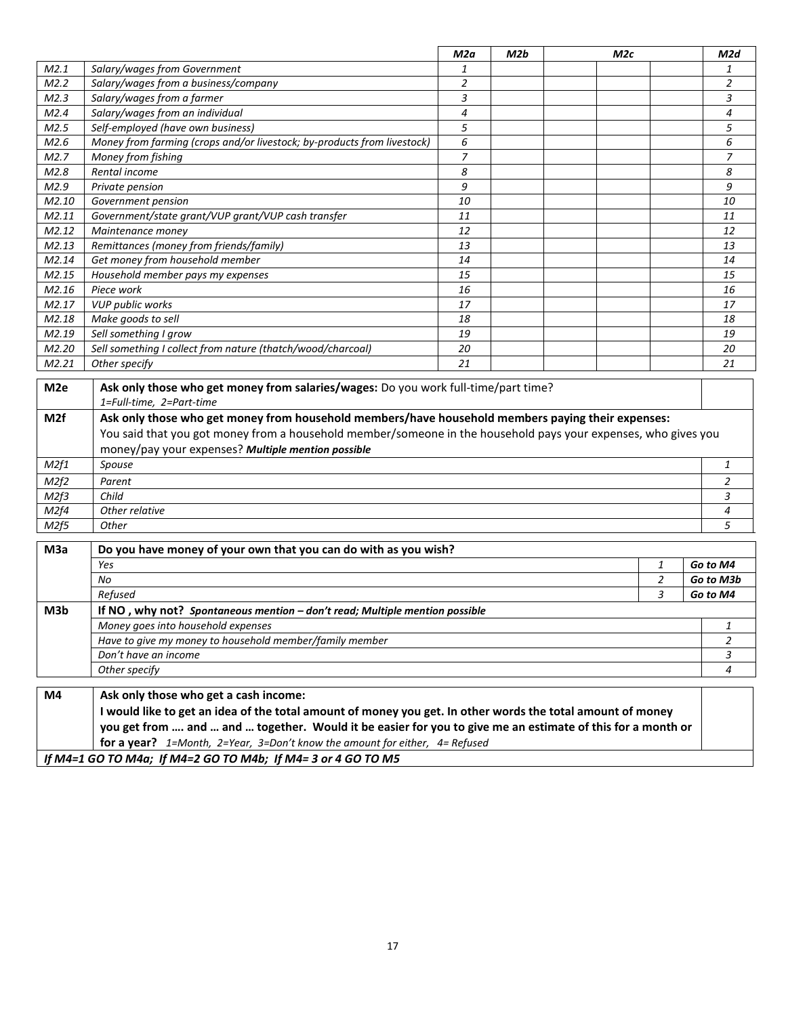|                                                                                                                                                                                                                                                                                                                                                                             |                                                                         | M2a            | M2b | M2c |                | M2d            |
|-----------------------------------------------------------------------------------------------------------------------------------------------------------------------------------------------------------------------------------------------------------------------------------------------------------------------------------------------------------------------------|-------------------------------------------------------------------------|----------------|-----|-----|----------------|----------------|
| M2.1                                                                                                                                                                                                                                                                                                                                                                        | Salary/wages from Government                                            | 1              |     |     |                | $\mathbf{1}$   |
| M2.2                                                                                                                                                                                                                                                                                                                                                                        | Salary/wages from a business/company                                    | $\overline{2}$ |     |     |                | $\overline{2}$ |
| M2.3                                                                                                                                                                                                                                                                                                                                                                        | Salary/wages from a farmer                                              | $\overline{3}$ |     |     |                | 3              |
| M2.4                                                                                                                                                                                                                                                                                                                                                                        | Salary/wages from an individual                                         | $\overline{4}$ |     |     |                | $\overline{4}$ |
| M2.5                                                                                                                                                                                                                                                                                                                                                                        | Self-employed (have own business)                                       | 5              |     |     |                | 5              |
| M2.6                                                                                                                                                                                                                                                                                                                                                                        | Money from farming (crops and/or livestock; by-products from livestock) | 6              |     |     |                | 6              |
| M2.7                                                                                                                                                                                                                                                                                                                                                                        | Money from fishing                                                      | $\overline{z}$ |     |     |                | $\overline{z}$ |
| M2.8                                                                                                                                                                                                                                                                                                                                                                        | Rental income                                                           | 8              |     |     |                | 8              |
| M2.9                                                                                                                                                                                                                                                                                                                                                                        | Private pension                                                         | 9              |     |     |                | 9              |
| M2.10                                                                                                                                                                                                                                                                                                                                                                       | Government pension                                                      | 10             |     |     |                | 10             |
| M2.11                                                                                                                                                                                                                                                                                                                                                                       | Government/state grant/VUP grant/VUP cash transfer                      | 11             |     |     |                | 11             |
| M2.12                                                                                                                                                                                                                                                                                                                                                                       | Maintenance money                                                       | 12             |     |     |                | 12             |
| M2.13                                                                                                                                                                                                                                                                                                                                                                       | Remittances (money from friends/family)                                 | 13             |     |     |                | 13             |
| M2.14                                                                                                                                                                                                                                                                                                                                                                       | Get money from household member                                         | 14             |     |     |                | 14             |
| M2.15                                                                                                                                                                                                                                                                                                                                                                       | Household member pays my expenses                                       | 15             |     |     |                | 15             |
| M2.16                                                                                                                                                                                                                                                                                                                                                                       | Piece work                                                              | 16             |     |     |                | 16             |
| M2.17                                                                                                                                                                                                                                                                                                                                                                       | <b>VUP public works</b>                                                 | 17             |     |     |                | 17             |
| M2.18                                                                                                                                                                                                                                                                                                                                                                       | Make goods to sell                                                      | 18             |     |     |                | 18             |
| M2.19                                                                                                                                                                                                                                                                                                                                                                       | Sell something I grow                                                   | 19             |     |     |                | 19             |
| M2.20                                                                                                                                                                                                                                                                                                                                                                       | Sell something I collect from nature (thatch/wood/charcoal)             | 20             |     |     |                | 20             |
| M2.21                                                                                                                                                                                                                                                                                                                                                                       | Other specify                                                           | 21             |     |     |                | 21             |
| Ask only those who get money from salaries/wages: Do you work full-time/part time?<br>M <sub>2e</sub><br>1=Full-time, 2=Part-time<br>Ask only those who get money from household members/have household members paying their expenses:<br>M <sub>2f</sub><br>You said that you got money from a household member/someone in the household pays your expenses, who gives you |                                                                         |                |     |     |                |                |
|                                                                                                                                                                                                                                                                                                                                                                             | money/pay your expenses? Multiple mention possible                      |                |     |     |                | $\mathbf{1}$   |
| M2f1                                                                                                                                                                                                                                                                                                                                                                        | Spouse                                                                  |                |     |     |                |                |
| M2f2                                                                                                                                                                                                                                                                                                                                                                        | Parent                                                                  |                |     |     |                | 2              |
| M2f3                                                                                                                                                                                                                                                                                                                                                                        | Child                                                                   |                |     |     |                | 3              |
| M2f4                                                                                                                                                                                                                                                                                                                                                                        | Other relative                                                          |                |     |     | 4              |                |
| M2f5                                                                                                                                                                                                                                                                                                                                                                        | Other                                                                   |                |     |     |                | 5              |
| M <sub>3</sub> a                                                                                                                                                                                                                                                                                                                                                            | Do you have money of your own that you can do with as you wish?         |                |     |     |                |                |
|                                                                                                                                                                                                                                                                                                                                                                             | Yes                                                                     |                |     |     | 1              | Go to M4       |
|                                                                                                                                                                                                                                                                                                                                                                             | <b>No</b>                                                               |                |     |     | $\overline{2}$ | Go to M3b      |

|                 | No                                                                            | Go to M3b |
|-----------------|-------------------------------------------------------------------------------|-----------|
|                 | Refused                                                                       | Go to M4  |
| M3 <sub>b</sub> | If NO, why not? Spontaneous mention $-$ don't read; Multiple mention possible |           |
|                 | Money goes into household expenses                                            |           |
|                 | Have to give my money to household member/family member                       |           |
|                 | Don't have an income                                                          |           |
|                 | Other specify                                                                 |           |
|                 |                                                                               |           |

**M4 Ask only those who get a cash income: I would like to get an idea of the total amount of money you get. In other words the total amount of money you get from …. and … and … together. Would it be easier for you to give me an estimate of this for a month or for a year?** *1=Month, 2=Year, 3=Don't know the amount for either, 4= Refused If M4=1 GO TO M4a; If M4=2 GO TO M4b; If M4= 3 or 4 GO TO M5*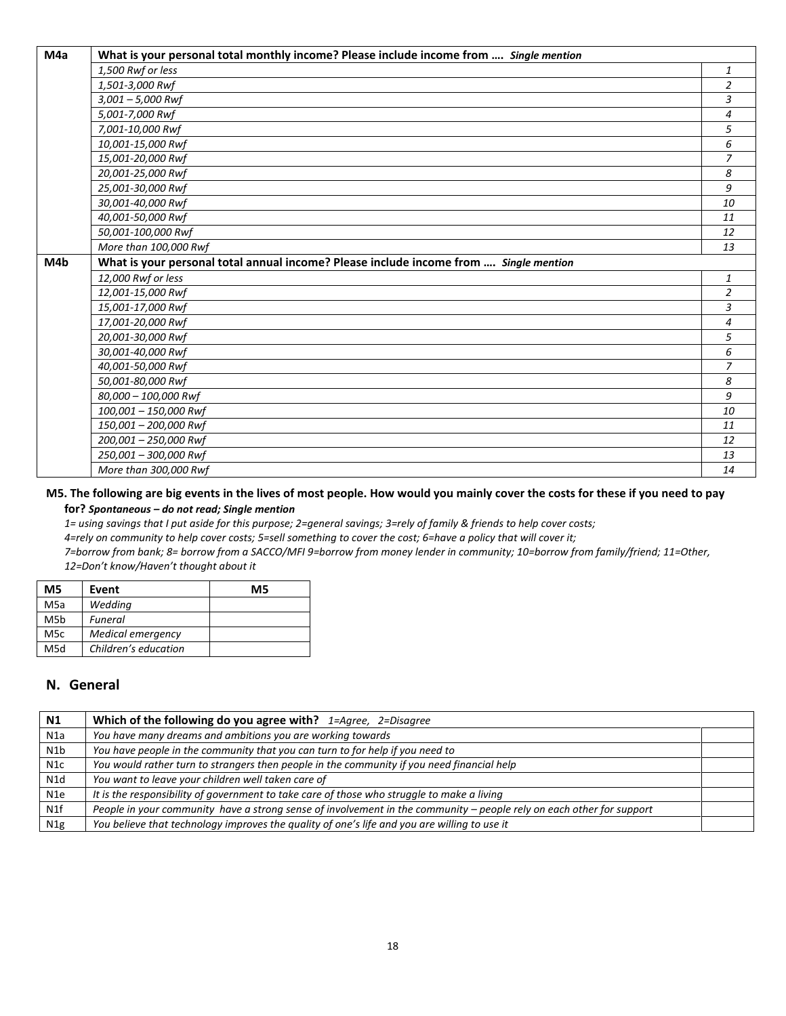| M4a | What is your personal total monthly income? Please include income from  Single mention |                |
|-----|----------------------------------------------------------------------------------------|----------------|
|     | 1,500 Rwf or less                                                                      | 1              |
|     | 1,501-3,000 Rwf                                                                        | $\overline{c}$ |
|     | $3,001 - 5,000$ Rwf                                                                    | 3              |
|     | 5,001-7,000 Rwf                                                                        | 4              |
|     | 7,001-10,000 Rwf                                                                       | 5              |
|     | 10,001-15,000 Rwf                                                                      | 6              |
|     | 15,001-20,000 Rwf                                                                      | $\overline{z}$ |
|     | 20,001-25,000 Rwf                                                                      | 8              |
|     | 25,001-30,000 Rwf                                                                      | 9              |
|     | 30,001-40,000 Rwf                                                                      | 10             |
|     | 40,001-50,000 Rwf                                                                      | 11             |
|     | 50,001-100,000 Rwf                                                                     | 12             |
|     | More than 100,000 Rwf                                                                  | 13             |
| M4b | What is your personal total annual income? Please include income from  Single mention  |                |
|     | 12,000 Rwf or less                                                                     | 1              |
|     | 12,001-15,000 Rwf                                                                      | $\overline{a}$ |
|     | 15,001-17,000 Rwf                                                                      | 3              |
|     | 17,001-20,000 Rwf                                                                      | 4              |
|     | 20,001-30,000 Rwf                                                                      | 5              |
|     | 30,001-40,000 Rwf                                                                      | 6              |
|     | 40,001-50,000 Rwf                                                                      | $\overline{z}$ |
|     | 50,001-80,000 Rwf                                                                      | 8              |
|     | 80,000 - 100,000 Rwf                                                                   | 9              |
|     | 100,001 - 150,000 Rwf                                                                  | 10             |
|     | 150,001 - 200,000 Rwf                                                                  | 11             |
|     | 200,001 - 250,000 Rwf                                                                  | 12             |
|     | 250,001 - 300,000 Rwf                                                                  | 13             |
|     | More than 300,000 Rwf                                                                  | 14             |

#### **M5. The following are big events in the lives of most people. How would you mainly cover the costs for these if you need to pay for?** *Spontaneous – do not read; Single mention*

*1= using savings that I put aside for this purpose; 2=general savings; 3=rely of family & friends to help cover costs; 4=rely on community to help cover costs; 5=sell something to cover the cost; 6=have a policy that will cover it; 7=borrow from bank; 8= borrow from a SACCO/MFI 9=borrow from money lender in community; 10=borrow from family/friend; 11=Other, 12=Don't know/Haven't thought about it*

| M5  | Event                | M5 |
|-----|----------------------|----|
| M5a | Wedding              |    |
| M5b | Funeral              |    |
| M5c | Medical emergency    |    |
| M5d | Children's education |    |

# **N. General**

| <b>N1</b> | Which of the following do you agree with? $1 = \text{Agree}, 2 = \text{Disagree}$                                    |  |
|-----------|----------------------------------------------------------------------------------------------------------------------|--|
| N1a       | You have many dreams and ambitions you are working towards                                                           |  |
| N1b       | You have people in the community that you can turn to for help if you need to                                        |  |
| N1c       | You would rather turn to strangers then people in the community if you need financial help                           |  |
| N1d       | You want to leave your children well taken care of                                                                   |  |
| N1e       | It is the responsibility of government to take care of those who struggle to make a living                           |  |
| N1f       | People in your community have a strong sense of involvement in the community - people rely on each other for support |  |
| N1g       | You believe that technology improves the quality of one's life and you are willing to use it                         |  |